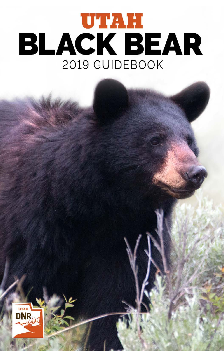# UTAH *Utah Black Bear Guidebook • 2019* **BLACK BEAR** 2019 GUIDEBOOK

wildlife.ut

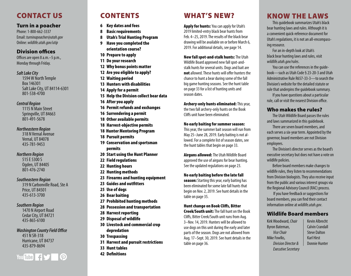# CONTACT US

### Turn in a poacher

*Utah Black Bear Guidebook • 2019* Phone: 1-800-662-3337 Email: *[turninapoacher@utah.gov](mailto:turninapoacher%40utah.gov?subject=)* Online: *[wildlife.utah.gov/utip](http://wildlife.utah.gov/utip)*

# Division offices

Offices are open 8 a.m.–5 p.m., Monday through Friday.

### *Salt Lake City*

1594 W North Temple Box 146301 Salt Lake City, UT 84114-6301 801-538-4700

### *Central Region*

1115 N Main Street Springville, UT 84663 801-491-5678

### *Northeastern Region*

318 N Vernal Avenue Vernal, UT 84078 435-781-9453

### *Northern Region*

515 E 5300 S Ogden, UT 84405 801-476-2740

### *Southeastern Region*

319 N Carbonville Road, Ste A Price, UT 84501 435-613-3700

### *Southern Region*

1470 N Airport Road Cedar City, UT 84721 435-865-6100

### *Washington County Field Office*

451 N SR-318 Hurricane, UT 84737 435-879-8694



# CONTENTS

- 6 [Key dates and fees](#page-3-0)
- 8 [Basic requirements](#page-4-0)
- 8 [Utah's Trial Hunting Program](#page-4-0)
- 9 [Have you completed the](#page-4-0)  [orientation course?](#page-4-0)
- 10 [Prepare to apply](#page-5-0)
- 11 [Do your research](#page-5-0)
- 12 [Why bonus points matter](#page-6-0)
- 12 [Are you eligible to apply?](#page-6-0)
- 12 [Waiting period](#page-6-0)
- 13 [Hunters with disabilities](#page-6-0)
- 14 [Apply for a permit](#page-7-0)
- 15 [Help the Division collect bear data](#page-8-0)
- 16 [After you apply](#page-8-0)
- 16 [Permit refunds and exchanges](#page-8-0)
- 16 [Surrendering a permit](#page-8-0)
- 18 [Other available permits](#page-9-0)
- 18 [Harvest-objective permits](#page-9-0)
- 18 Hunter Mentoring Program
- 18 [Pursuit permits](#page-9-0)
- 19 [Conservation and sportsman](#page-10-0)  [permits](#page-10-0)
- 20 Start using the Hunt Planner
- 22 [Field regulations](#page-11-0)
- 22 [Hunting hours](#page-11-0)
- 22 [Hunting methods](#page-11-0)
- 23 [Firearms and hunting equipment](#page-11-0)
- 23 [Guides and outfitters](#page-11-0)
- 25 [Use of dogs](#page-13-0)
- 26 [Bear baiting](#page-13-0)
- 27 [Prohibited hunting methods](#page-14-0)
- 28 [Possession and transportation](#page-14-0)
- 28 [Harvest reporting](#page-14-0)
- 29 [Disposal of wildlife](#page-15-0)
- 30 [Livestock and commercial crop](#page-15-0)  [depredation](#page-15-0)
- 30 [Trespassing](#page-15-0)
- 31 [Harvest and pursuit restrictions](#page-15-0)
- 33 [Hunt tables](#page-16-0)
- 42 [Definitions](#page-20-0)

# WHAT'S NEW?

Apply for hunts: You can apply for Utah's 2019 limited-entry black bear hunts from Feb. 4–25, 2019. The results of the black bear drawing will be available on or before March 6, 2019. For additional details, see [page 14.](#page-7-1)

New fall spot-and-stalk hunts: The Utah Wildlife Board approved new fall spot-andstalk hunts for several units. Dogs and bait are not allowed. These hunts will offer hunters the chance to hunt a bear during some of the fall big game hunting seasons. See the hunt table on page [33](#page-16-1) for a list of hunting units and season dates.

Archery-only hunts eliminated: This year, the two fall archery-only hunts on the Book Cliffs unit have been eliminated.

### No early baiting for summer season:

This year, the summer bait season will run from May 25–June 28, 2019. Early baiting is not al lowed. For a complete list of season dates, see the hunt tables that begin on [page 33](#page-16-2).

Airguns allowed: The Utah Wildlife Board approved the use of airguns for bear hunting. See the updated regulations on page [23.](#page-11-1)

### No early baiting before the late fall

season: Starting this year, early baiting has been eliminated for some late fall hunts that begin on Nov. 2, 2019. See hunt details in the table on [page 35](#page-17-0).

### Hunt change on Book Cliffs, Bitter

Creek/South unit: The fall hunt on the Book Cliffs, Bitter Creek/South unit runs from Aug. 3–Nov. 14, 2019. Hunters will be allowed to use dogs on this unit during the early and later parts of the season. Dogs are not allowed from Aug. 17–Sept. 30, 2019. See hunt details in the table on [page 36](#page-18-0).

# KNOW THE LAWS

This guidebook summarizes Utah's black bear hunting laws and rules. Although it is a convenient quick-reference document for Utah's regulations, it is not an all-encompass ing resource.

For an in-depth look at Utah's black bear hunting laws and rules, visit *[wildlife.utah.gov/rules](http://wildlife.utah.gov/rules)* .

You can use the references in the guide book—such as Utah Code § 23-20-3 and Utah Administrative Rule R657-33-3—to search the Division's website for the detailed statute or rule that underpins the guidebook summary. If you have questions about a particular

rule, call or visit the nearest Division office.

# Who makes the rules?

The Utah Wildlife Board passes the rules and laws summarized in this guidebook.

There are seven board members, and each serves a six-year term. Appointed by the governor, board members are not Division employees.

The Division's director serves as the board's executive secretary but does not have a vote on wildlife policies.

Before board members make changes to wildlife rules, they listen to recommendations from Division biologists. They also receive input from the public and various interest groups via the Regional Advisory Council (RAC) process.

 If you have feedback or suggestions for board members, you can find their contact information online at *[wildlife.utah.gov](http://wildlife.utah.gov)* .

# Wildlife Board members

Kirk Woodward, *Chair* Byron Bateman, *Vice Chair* Mike Fowlks, *Division Director & Executive Secretary* Kevin Albrecht Calvin Crandall Steve Dalton Karl Hirst Donnie Hunter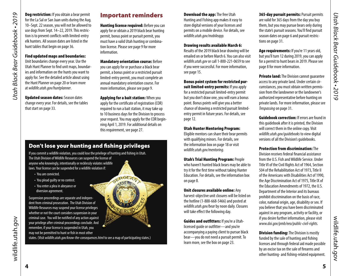**Dog restriction:** If you obtain a bear permit for the La Sal or San Juan units during the Aug. 10–Sept. 22 season, you will not be allowed to use dogs from Sept. 14–22, 2019. This restriction is to prevent conflicts with limited-entry elk hunters. All season dates are listed in the hunt tables that begin on [page 36.](#page-18-1)

### Find updated maps and boundaries:

Unit boundaries change every year. Use the Utah Hunt Planner to find unit maps, boundaries and information on the hunts you want to apply for. See the detailed article about using the Hunt Planner on page [20](#page-10-1) or learn more at *wildlife.utah.gov/huntplanner*.

Updated season dates: Season dates change every year. For details, see the tables that start on [page 33](#page-16-3).

# Important reminders

**Hunting license required: Before you can** apply for or obtain a 2019 black bear hunting permit, bonus point or pursuit permit, you must have a valid Utah hunting or combination license. Please see [page 9](#page-4-3) for more information.

**Mandatory orientation course: Before** you can apply for or purchase a black bear permit, a bonus point or a restricted pursuit limited-entry permit, you must complete an annual mandatory orientation course. For more information, please see [page 9](#page-4-4).

**Applying for a bait station: When you** apply for the certificate of registration (COR) required to run a bait station, it may take up to 10 business days for the Division to process your request. You may apply for the COR beginning April 1, 2019. For additional details on this requirement, see [page 27.](#page-13-1)

GERGEAN

# Don't lose your hunting and fishing privileges

If you commit a wildlife violation, you could lose the privilege of hunting and fishing in Utah. The Utah Division of Wildlife Resources can suspend the license of anyone who knowingly, intentionally or recklessly violates wildlife laws. Your license can be suspended for a wildlife violation if:

- You are convicted.
- You plead guilty or no contest.
- You enter a plea in abeyance or diversion agreement.

Suspension proceedings are separate and independent from criminal prosecution. The Utah Division of Wildlife Resources may suspend your license privileges whether or not the court considers suspension in your criminal case. You will be notified of any action against your privilege after criminal proceedings conclude. And remember, if your license is suspended in Utah, you may not be permitted to hunt or fish in most other

states. (Visit *wildlife.utah.gov/know-the-consequences.html* to see a map of participating states.)

Download the app: The free Utah Hunting and Fishing app makes it easy to store digital versions of your licenses and permits on a mobile device. For details, see *wildlife.utah.gov/mobileapp.* 

### Drawing results available March 6:

Results of the 2019 black bear drawing will be emailed on or before March 6. You can also visit *[wildlife.utah.gov](http://wildlife.utah.gov)* or call 1-800-221-0659 to see if you were successful. For more information, see [page 15](#page-7-2).

Bonus point system for restricted pursuit limited-entry permits: If you apply for a restricted pursuit limited-entry permit but you don't draw one, you will earn a bonus point. Bonus points will give you a better chance of drawing a restricted pursuit limitedentry permit in future years. For details, see [page 12.](#page-6-1)

### Utah Hunter Mentoring Program:

Eligible mentors can share their bear permits with qualifying minors. For details, see the information box on page [18](#page-9-1) or visit *wildlife.utah.gov/mentoring*.

Utah's Trial Hunting Program: People who haven't hunted black bears may be able to

try it for the first time without taking Hunter Education. For details, see the information box on [page 8](#page-4-2).

Unit closures available online: Any harvest-objective unit closures will be listed on

the hotline (1-888-668-5466) and posted at *[wildlife.utah.gov/bear](http://wildlife.utah.gov/bear)* by noon daily. Closures will take effect the following day.

Guides and outfitters: If you're a Utahlicensed guide or outfitter—and you're accompanying a paying client to pursue black bear—you do not need a pursuit permit. To learn more, see the box on [page 23.](#page-11-2)

**365-day pursuit permits: Pursuit permits** are valid for 365 days from the day you buy them, but you may pursue bears only during the state's pursuit seasons. You'll find pursuit season dates on page 6 and pursuit restrictions on [page 31.](#page-15-1)

Age requirements: If you're 11 years old, but you'll turn 12 during 2019, you can apply for a permit to hunt bears in 2019. Please see [page 8](#page-4-1) for more information.

**Private land:** The Division cannot quarantee access to any private land. Under certain circumstances, you must obtain written permission from the landowner or the landowner's authorized representative before hunting on private lands. For more information, please see *Trespassing* [on page 31.](#page-15-2)

**Guidebook correction:** If errors are found in this guidebook after it is printed, the Division will correct them in the online copy. Visit *[wildlife.utah.gov/guidebooks](http://wildlife.utah.gov/guidebooks)* to view digital versions of all the Division's guidebooks.

Protection from discrimination: The Division receives federal financial assistance from the U.S. Fish and Wildlife Service. Under Title VI of the Civil Rights Act of 1964, Section 504 of the Rehabilitation Act of 1973, Title II of the Americans with Disabilities Act of 1990, the Age Discrimination Act of 1975, Title IX of the Education Amendments of 1972, the U.S. Department of the Interior and its bureaus prohibit discrimination on the basis of race, color, national origin, age, disability or sex. If you believe that you have been discriminated against in any program, activity or facility, or if you desire further information, please visit *www.doi.gov/pmb/eeo/public-civil-rights.*

**Division funding:** The Division is mostly funded by the sale of hunting and fishing licenses and through federal aid made possible by an excise tax on the sale of firearms and other hunting- and fishing-related equipment.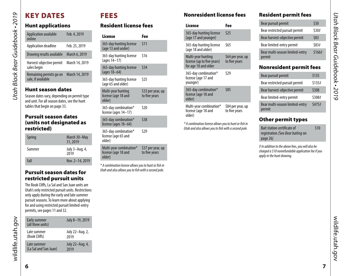# <span id="page-3-2"></span>KEY DATES

*Utah Black Bear Guidebook • 2019*

<span id="page-3-0"></span>Utah Black Bear Guidebook • 2019

# Hunt applications

| Application available<br>online               | Feb. 4, 2019   |  |  |
|-----------------------------------------------|----------------|--|--|
| Application deadline                          | Feb. 25, 2019  |  |  |
| Drawing results available                     | March 6, 2019  |  |  |
| Harvest-objective permit<br>sales begin       | March 14, 2019 |  |  |
| Remaining permits go on<br>sale, if available | March 14, 2019 |  |  |
| <b>Hunt season dates</b>                      |                |  |  |

Season dates vary, depending on permit type and unit. For all season dates, see the hunt tables that begin on [page 33](#page-16-3).

# <span id="page-3-1"></span>Pursuit season dates (units not designated as restricted)

| Spring | March 30-May<br>31, 2019 |
|--------|--------------------------|
| Summer | July 3-Aug. 4,<br>2019   |
| Fall   | Nov. 2-14, 2019          |

# Pursuit season dates for restricted pursuit units

The Book Cliffs, La Sal and San Juan units are Utah's only restricted pursuit units. Restrictions only apply during the early and late summer pursuit seasons. To learn more about applying for and using restricted pursuit limited-entry permits, see [pages 11](#page-5-1) an[d 32.](#page-16-4)

| Early summer<br>(all three units) | July 8-19, 2019 |
|-----------------------------------|-----------------|
| Late summer                       | July 22-Aug. 2, |
| (Book Cliffs)                     | 2019            |
| Late summer                       | July 22-Aug. 4, |
| (La Sal and San Juan)             | 2019            |

# FEES

# Resident license fees

| l icense                                                 | Fee                                |
|----------------------------------------------------------|------------------------------------|
| 365-day hunting license<br>(age 13 and under)            | \$11                               |
| 365-day hunting license<br>(ages 14–17)                  | \$16                               |
| 365-day hunting license<br>(ages 18–64)                  | \$34                               |
| 365-day hunting license<br>(age 65 and older)            | \$25                               |
| Multi-year hunting<br>license (age 18 and<br>older)      | \$33 per year, up<br>to five years |
| 365-day combination*<br>license (ages 14-17)             | \$20                               |
| 365-day combination*<br>license (ages 18-64)             | \$38                               |
| 365-day combination*<br>license (age 65 and<br>older)    | \$29                               |
| Multi-year combination*<br>license (age 18 and<br>older) | \$37 per year, up<br>to five years |

*\* A combination license allows you to hunt or fish in Utah and also allows you to fish with a second pole.*

# Nonresident license fees

| License                                                                  | Fee                                |
|--------------------------------------------------------------------------|------------------------------------|
| 365-day hunting license<br>(age 17 and younger)                          | \$25                               |
| 365-day hunting license<br>(age 18 and older)                            | \$65                               |
| Multi-year hunting<br>license (up to five years)<br>for age 18 and older | \$64 per year, up<br>to five years |
| 365-day combination*<br>license (age 17 and<br>younger)                  | \$29                               |
| 365-day combination*<br>license (age 18 and<br>older)                    | \$85                               |
| Multi-year combination*<br>license (age 18 and<br>older)                 | \$84 per year, up<br>to five years |

*\* A combination license allows you to hunt or fish in Utah and also allows you to fish with a second pole.*

# Resident permit fees

| Bear pursuit permit                       | \$30   |
|-------------------------------------------|--------|
| Bear restricted pursuit permit            | \$30#  |
| Bear harvest-objective permit             | \$83   |
| Bear limited-entry permit                 | \$83#  |
| Bear multi-season limited-entry<br>permit | \$166# |
|                                           |        |

# Nonresident permit fees

| Bear pursuit permit                       | \$135  |
|-------------------------------------------|--------|
| Bear restricted pursuit permit            | \$135# |
| Bear harvest-objective permit             | \$308  |
| Bear limited-entry permit                 | \$308# |
| Bear multi-season limited-entry<br>permit | \$475# |

# Other permit types

| <b>Bait station certificate of</b> | \$10 |
|------------------------------------|------|
| registration (See Bear baiting on  |      |
| page $26$ )                        |      |

*‡ In addition to the above fees, you will also be charged a \$10 nonrefundable application fee if you apply in the hunt drawing.*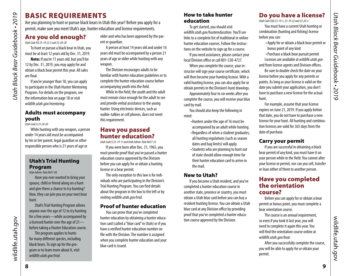# <span id="page-4-0"></span>BASIC REQUIREMENTS

Are you planning to hunt or pursue black bears in Utah this year? Before you apply for a permit, make sure you meet Utah's age, hunter education and license requirements.

# <span id="page-4-1"></span>Are you old enough?

*Utah Code §§ 23-19-22.5 and 23-20-20* 

To hunt or pursue a black bear in Utah, you must be at least 12 years old by Dec. 31, 2019.

Note: If you're 11 years old, but you'll be 12 by Dec. 31, 2019, you may apply for and obtain a black bear permit this year. All sales are final.

If you're younger than 18, you can apply to participate in the Utah Hunter Mentoring Program. For details on the program, see the information box on page [18](#page-9-1) or visit *wildlife.utah.gov/mentoring*.

# Adults must accompany youth

*Utah Code § 23-20-20*

While hunting with any weapon, a person under 14 years old must be accompanied by his or her parent, legal guardian or other responsible person who is 21 years of age or

# <span id="page-4-2"></span>Utah's Trial Hunting Program

*Utah Admin. Rule R657-68*

Have you ever wanted to bring your spouse, child or friend along on a hunt and give them a chance to try hunting? Now, they can join you on your next bear hunt.

Utah's Trial Hunting Program allows anyone over the age of 12 to try hunting for a few years—while accompanied by a licensed hunter over the age of 21 before taking a Hunter Education course.

The program applies to hunts for many different species, including black bears. To sign up for the program or to learn more about it, visit *wildlife.utah.gov/trial*.

older and who has been approved by the parent or guardian.

A person at least 14 years old and under 16 years old must be accompanied by a person 21 years of age or older while hunting with any weapon.

The Division encourages adults to be familiar with hunter education guidelines or to complete the hunter education course before accompanying youth into the field.

While in the field, the youth and the adult must remain close enough for the adult to see and provide verbal assistance to the young hunter. Using electronic devices, such as walkie-talkies or cell phones, does not meet this requirement.

# Have you passed hunter education?

*Utah Code § 23-19-11 and Utah Admin. Rule R657-23* 

If you were born after Dec. 31, 1965, you must provide proof that you've passed a hunter education course approved by the Division before you can apply for or obtain a hunting license or a bear permit.

The only exception to this law is for individuals who are participating in the Division's Trial Hunting Program. You can find details about the program in the box to the left or by visiting *wildlife.utah.gov/trial*.

# Proof of hunter education

You can prove that you've completed hunter education by obtaining a hunter education card (called a "blue card" in Utah) or if you have a verified hunter education number on file with the Division. The number is assigned when you complete hunter education and your blue card is issued.

# How to take hunter education

To get started, you should visit *wildlife.utah.gov/huntereducation*. You'll see links to a complete list of traditional or online hunter education courses. Follow the instructions on the website to sign up for a course.

If you need assistance, please contact your local Division office or call 801-538-4727.

When you complete the course, your instructor will sign your course certificate, which will then become your hunting license. With a valid hunting license, you can also apply for or obtain permits in the Division's hunt drawings.

Approximately four to six weeks after you complete the course, you will receive your blue card by mail.

You should also keep the following in mind:

> •Hunters under the age of 16 must be accompanied by an adult while hunting. • Regardless of when a student graduates, all hunting regulations (such as season dates and bag limits) will apply. •Students who are planning to hunt out of state should allow enough time for their hunter education card to arrive in the mail.

# New to Utah?

If you become a Utah resident, and you've completed a hunter education course in another state, province or country, you must obtain a Utah blue card before you can buy a resident hunting license. You can obtain a Utah blue card at any Division office by providing proof that you've completed a hunter education course approved by the Division.

# <span id="page-4-3"></span>Do you have a license?

*Utah Code §§§ 23-19-1, 23-19-22 and 23-20-3*

You must have a current Utah hunting or combination (hunting and fishing) license before you can:

•Apply for or obtain a black bear permit or bonus point of any kind

•Purchase a black bear pursuit permit Licenses are available at *[wildlife.utah.gov](http://wildlife.utah.gov)*

and from license agents and Division offices. Be sure to double check the date on your

license before you apply for any permits or points. As long as your license is valid on the date you submit your application, you don't have to purchase a new license for the actual hunt.

For example, assume that your license expires on June 21, 2019. If you apply before that date, you do not have to purchase a new license for your hunt. All hunting and combination licenses are valid for 365 days from the date of purchase.

# Carry your permit

If you are successful in obtaining a black bear permit of any kind, you must have it on your person while in the field. You cannot alter your license or permit, nor can you sell, transfer or loan either of them to another person.

# <span id="page-4-4"></span>Have you completed the orientation course?

Before you can apply for or obtain a bear permit or bonus point, you must complete a bear orientation course.

The course is an annual requirement, so even if you took it last year, you will need to complete it again this year. You will find the orientation course online at *[wildlife.utah.gov/bear](http://wildlife.utah.gov/bear)*.

After you successfully complete the course, you will be able to apply for or obtain your permit.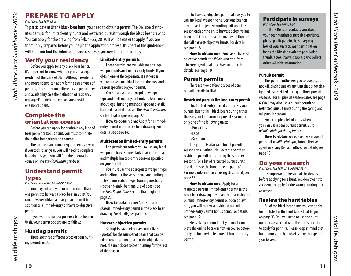# PREPARE TO APPLY

### *Utah Admin. Rule R657-62-19*

*Utah Black Bear Guidebook • 2019*

<span id="page-5-0"></span>Utah Black Bear Guidebook • 2019

To participate in Utah's black bear hunt, you need to obtain a permit. The Division distributes permits for limited-entry hunts and restricted pursuit through the black bear drawing. You can apply for the drawing from Feb. 4–25, 2019. It will be easier to apply if you are thoroughly prepared before you begin the application process. This part of the guidebook will help you find the information and resources you need in order to apply.

Verify your residency Before you apply for any black bear hunts, it's important to know whether you are a legal resident of the state of Utah. Although residents and nonresidents can apply for the same types of permits, there are some differences in permit fees and availability. See the definition of residency on [page 43](#page-21-0) to determine if you are a resident or a nonresident.

# Complete the orientation course

Before you can apply for or obtain any kind of bear permit or bonus point, you must complete the online bear orientation course.

The course is an annual requirement, so even if you took it last year, you will need to complete it again this year. You will find the orientation course online at *[wildlife.utah.gov/bear](http://wildlife.utah.gov/bear)*.

# Understand permit types

*Utah Admin. Rule R657-33-3 and R657-33-4*

You may not apply for or obtain more than one permit to harvest a black bear in 2019. You can, however, obtain a bear pursuit permit in addition to a limited-entry or harvest-objective permit.

If you want to hunt or pursue a black bear in Utah, your permit options are as follows:

# Hunting permits

There are three different types of bear hunting permits in Utah.

## <span id="page-5-2"></span>Limited-entry permits

These permits are available for any legal weapon hunts and archery-only hunts. If you obtain one of these permits, it authorizes you to harvest one black bear in the area and season specified on your permit.

You must use the appropriate weapon type and method for your hunt. To learn more about legal hunting methods (spot-and-stalk, bait and use of dogs), see the *Field Regulations* section that begins on [page 22.](#page-11-3)

How to obtain one: Apply for a limitedentry permit in the black bear drawing. For details, see [page 14](#page-7-1).

### Multi-season limited-entry permits

This permit authorizes you to use any legal weapon to harvest one black bear in the area and multiple limited-entry seasons specified on your permit.

You must use the appropriate weapon type and method for the seasons you are hunting. To learn more about legal hunting methods (spot-and-stalk, bait and use of dogs), see the *Field Regulations* section that begins on [page 22.](#page-11-3)

How to obtain one: Apply for a multiseason limited-entry permit in the black bear drawing. For details, see [page 14.](#page-7-1)

### Harvest-objective permits

Biologists have set harvest objectives (quotas) for the number of bears that can be taken on certain units. When the objective is met, the unit closes to bear hunting for the rest of the season.

The harvest-objective permit allows you to use any legal weapon to harvest one bear on any harvest-objective hunting unit until the season ends or the unit's harvest objective has been met. (There are additional restrictions on the fall harvest-objective hunts. For details, see [page 18](#page-9-3).)

**How to obtain one: Purchase a harvest**objective permit at *[wildlife.utah.gov](http://wildlife.utah.gov)*, from a license agent or at any Division office. For details, see [page 18](#page-9-3).

# Pursuit permits

There are two different types of bear pursuit permits in Utah:

### <span id="page-5-1"></span>Restricted pursuit limited-entry permit

This limited-entry permit authorizes you to pursue, but not kill, black bears during either the early- or late-summer pursuit season on only one of the following units:

- •Book Cliffs
- •La Sal
- •San Juan

 The permit is also valid for all pursuit seasons on all other units, except the other restricted pursuit units during the summer seasons. For a list of restricted pursuit units and dates, see the hunt table on [page 41](#page-20-1). For more information on using this permit, see [page 32.](#page-16-4)

**How to obtain one: Apply for a** restricted pursuit limited-entry permit in the black bear drawing. If you apply for a restricted pursuit limited-entry permit but don't draw one, you will receive a restricted pursuit limited-entry permit bonus point. For details, see [page 12](#page-6-1).

Please keep in mind that you must complete the online bear orientation course before applying for a restricted pursuit limited-entry permit.

### Participate in surveys *Utah Admin. Rule R657-33-24*

If the Division contacts you about your bear hunting or pursuit experience, please participate in the survey regardless of your success. Your participation helps the Division evaluate population trends, assess harvest success and collect other valuable information.

### Pursuit permit

This permit authorizes you to pursue, but not kill, black bears on any unit that is not designated as restricted during all three pursuit seasons. (For all pursuit season dates, see [page](#page-3-1)  [6.](#page-3-1)) You may also use a pursuit permit on restricted pursuit units during the spring and fall pursuit seasons.

For a complete list of units where you can use a bear pursuit permit, visit *[wildlife.utah.gov/](http://wildlife.utah.gov/maps)huntplanner*.

How to obtain one: Purchase a pursuit permit at *[wildlife.utah.gov](http://wildlife.utah.gov)*, from a license agent or at any Division office. For details, see [page 19.](#page-9-2)

# Do your research

*Utah Admin. Rule R657-33-3 and R657-33-4*

It's important to be sure of the details before applying for a hunt. You don't want to accidentally apply for the wrong hunting unit or season.

# Review the hunt tables

All of the black bear hunts you can apply for are listed in the hunt tables that begin on [page 33.](#page-16-3) You will need to use the hunt numbers associated with the hunts in order to apply for permits. Please keep in mind that hunt names and boundaries may change from year to year.

wildlife.utah.gov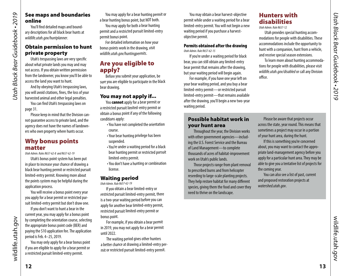# <span id="page-6-0"></span>Utah Black Bear Guidebook . 2019 *Utah Black Bear Guidebook • 2019*

# See maps and boundaries online

You'll find detailed maps and boundary descriptions for all black bear hunts at *wildlife.utah.gov/huntplanner*.

# Obtain permission to hunt private property

Utah's trespassing laws are very specific about what private lands you may and may not access. If you obtain written permission from the landowner, you know you'll be able to access the land you want to hunt.

And by obeying Utah's trespassing laws, you will avoid citations, fines, the loss of your harvested animal and other legal penalties.

You can find Utah's trespassing laws on [page 31.](#page-15-2)

Please keep in mind that the Division cannot guarantee access to private land, and the agency does not have the names of landowners who own property where hunts occur.

# <span id="page-6-1"></span>Why bonus points matter

*Utah Admin. Rules R657-62-8 and R657-62-19*

Utah's bonus point system has been put in place to increase your chance of drawing a black bear hunting permit or restricted pursuit limited-entry permit. Knowing more about the points system may be helpful during the application process.

You will receive a bonus point every year you apply for a bear permit or restricted pursuit limited-entry permit but don't draw one.

If you don't want to hunt a bear in the current year, you may apply for a bonus point by completing the orientation course, selecting the appropriate bonus point code (BER) and paying the \$10 application fee. The application period is Feb. 4–25, 2019.

You may only apply for a bear bonus point if you are eligible to apply for a bear permit or a restricted pursuit limited-entry permit.

You may apply for a bear hunting permit or a bear hunting bonus point, but NOT both.

You may apply for both a bear hunting permit and a restricted pursuit limited-entry permit bonus point.

For detailed information on how your bonus points work in the drawing, visit *wildlife.utah.gov/huntingpermits*.

# Are you eligible to apply?

Before you submit your application, be sure you are eligible to participate in the black bear drawing.

# You may not apply if...

You **cannot** apply for a bear permit or a restricted pursuit limited-entry permit or obtain a bonus point if any of the following conditions apply:

- •You have not completed the orientation course.
- •Your bear hunting privilege has been suspended.
- •You're under a waiting period for a black bear hunting permit or restricted pursuit limited-entry permit.
- •You don't have a hunting or combination license.

# Waiting period

*Utah Admin. Rule R657-62-19*

If you obtain a bear limited-entry or restricted pursuit limited-entry permit, there is a two-year waiting period before you can apply for another bear limited-entry permit, restricted pursuit limited-entry permit or bonus point.

For example, if you obtain a bear permit in 2019, you may not apply for a bear permit until 2022.

The waiting period gives other hunters a better chance at drawing a limited-entry permit or restricted pursuit limited-entry permit.

You may obtain a bear harvest-objective permit while under a waiting period for a bear limited-entry permit. You will not begin a new waiting period if you purchase a harvestobjective permit.

### Permits obtained after the drawing *Utah Admin. Rule R657-62-15*

If you're under a waiting period for black bear, you can still obtain any limited-entry bear permit that remains after the drawing, but your waiting period will begin again.

For example, if you have one year left on your bear waiting period, and you buy a bear limited-entry permit—or restricted pursuit limited-entry permit—that remains available after the drawing, you'll begin a new two-year waiting period.

# Possible habitat work in your hunt area

Throughout the year, the Division works with other government agencies—including the U.S. Forest Service and the Bureau of Land Management—to complete thousands of acres of habitat-improvement work on Utah's public lands.

Those projects range from plant removal to prescribed burns and from helicopter reseeding to large-scale planting projects. They help restore habitat for many different species, giving them the food and cover they need to thrive on the landscape.

Please be aware that projects occur across the state, year round. This means that sometimes a project may occur in a portion of your hunt area, during the hunt.

Hunters with disabilities *Utah Admin. Rule R657-12*

office.

Utah provides special hunting accommodations for people with disabilities. These accommodations include the opportunity to hunt with a companion, hunt from a vehicle, and receive special season extensions.

To learn more about hunting accommodations for people with disabilities, please visit *[wildlife.utah.gov/disabled](http://wildlife.utah.gov/disabled)* or call any Division

If this is something you're concerned about, you may want to contact the appropriate land-management agency before you apply for a particular hunt area. They may be able to give you a tentative list of projects for the coming year.

You can also see a list of past, current and proposed restoration projects at *watershed.utah.gov*.

wildlife.utah.gov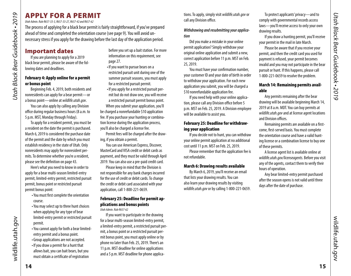# <span id="page-7-1"></span>APPLY FOR A PERMIT

*Utah Admin. Rule R657-33-3, R657-33-27, R657-42 and R657-62* 

The process of applying for a black bear permit is fairly straightforward, if you've prepared ahead of time and completed the orientation course (see [page 9\)](#page-4-4). You will avoid unnecessary stress if you apply for the drawing before the last day of the application period.

# Important dates

*Utah Black Bear Guidebook • 2019*

<span id="page-7-0"></span>Utah Black Bear Guidebook . 2019

If you are planning to apply for a 2019 black bear permit, please be aware of the following dates and deadlines.

### February 4: Apply online for a permit or bonus point

Beginning Feb. 4, 2019, both residents and nonresidents can apply for a bear permit—or a bonus point—online at *[wildlife.utah.gov](http://wildlife.utah.gov)*.

You can also apply by calling any Division office during regular business hours (8 a.m. to 5 p.m. MST, Monday through Friday).

To apply for a resident permit, you must be a resident on the date the permit is purchased. March 6, 2019 is considered the purchase date of the permit and the date by which you must establish residency in the state of Utah. Only nonresidents may apply for nonresident permits. To determine whether you're a resident, please see the definition on [page 43](#page-21-0).

Here's what you need to know in order to apply for a bear multi-season limited-entry permit, limited-entry permit, restricted pursuit permit, bonus point or restricted pursuit permit bonus point:

- •You must first complete the orientation course.
- •You may select up to three hunt choices when applying for any type of bear limited-entry permit or restricted pursuit permit.
- •You cannot apply for both a bear limitedentry permit and a bonus point.
- •Group applications are not accepted.
- •If you draw a permit for a hunt that allows bait, you can bait bears, but you must obtain a certificate of registration

before you set up a bait station. For more information on this requirement, see [page 27.](#page-13-1)

- •If you want to pursue bears on a restricted pursuit unit during one of the summer pursuit seasons, you must apply for a restricted pursuit permit.
- •If you apply for a restricted pursuit permit but do not draw one, you will receive a restricted pursuit permit bonus point. When you submit your application, you'll be charged a nonrefundable \$10 application fee. If you purchase your hunting or combination license during the application process,

you'll also be charged a license fee.

Permit fees will be charged after the drawing, if you obtain a permit.

You can use American Express, Discover, MasterCard and VISA credit or debit cards as payment, and they must be valid through April 2019. You can also use a pre-paid credit card.

Please keep in mind that the Division is not responsible for any bank charges incurred for the use of credit or debit cards. To change the credit or debit card associated with your application, call 1-800-221-0659.

### February 25: Deadline for permit applications and bonus points *Utah Admin. Rule R657-62*

If you want to participate in the drawing for a bear multi-season limited-entry permit, a limited-entry permit, a restricted pursuit permit, a bonus point or a restricted pursuit permit bonus point, you must apply online or by phone no later than Feb. 25, 2019. There's an 11 p.m. MST deadline for online applications and a 5 p.m. MST deadline for phone applications. To apply, simply visit *[wildlife.utah.gov](http://wildlife.utah.gov)* or call any Division office.

*Withdrawing and resubmitting your application*

Did you make a mistake in your online permit application? Simply withdraw your original online application and submit a new, correct application before 11 p.m. MST on Feb. 25, 2019.

You must have your confirmation number, your customer ID and your date of birth in order to withdraw your application. For each new application you submit, you will be charged a \$10 nonrefundable application fee.

If you need help with your online application, please call any Division office before 5 p.m. MST on Feb. 25, 2019. A Division employee will be available to assist you.

### February 25: Deadline for withdrawing your application

If you decide not to hunt, you can withdraw your online permit application at no additional cost until 11 p.m. MST on Feb. 25, 2019.

Please remember that the application fee is not refundable.

### <span id="page-7-2"></span>March 6: Drawing results available

By March 6, 2019, you'll receive an email that lists your drawing results. You can also learn your drawing results by visiting *[wildlife.utah.gov](http://wildlife.utah.gov)* or by calling 1-800-221-0659.

To protect applicants' privacy—and to comply with governmental records access laws—you'll receive access to only your own drawing results.

If you draw a hunting permit, you'll receive your permit in the mail in late March.

Please be aware that if you receive your permit, and then the credit card you used for payment is refused, your permit becomes invalid and you may not participate in the bear pursuit or hunt. If this happens, please call 1-800-221-0659 to resolve the problem.

## March 14: Remaining permits available

Any permits remaining after the bear drawing will be available beginning March 14, 2019 at 8 a.m. MDT. You can buy permits at *[wildlife.utah.gov](http://wildlife.utah.gov)* and at license agent locations and Division offices.

Remaining permits are available on a firstcome, first-served basis. You must complete the orientation course and have a valid hunting license or a combination license to buy one of these permits.

A license agent list is available online at *[wildlife.utah.gov/licenseagents](http://wildlife.utah.gov/licenseagents).* Before you visit any of the agents, contact them to verify their hours of operation.

Any bear limited-entry permit purchased after the season opens is not valid until three days after the date of purchase.

wildlife.utah.gov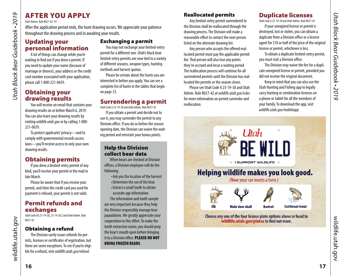# AFTER YOU APPLY

*Utah Admin. Rule R657-62-19*

*Utah Black Bear Guidebook • 2019*

<span id="page-8-0"></span>Utah Black Bear Guidebook • 2019

After the application period ends, the hunt drawing occurs. We appreciate your patience throughout the drawing process and in awaiting your results.

# Updating your personal information

A lot of things can change while you're waiting to find out if you drew a permit. If you need to update your name (because of marriage or divorce), your address or the credit card number associated with your application, please call 1-800-221-0659.

# Obtaining your drawing results

You will receive an email that contains your drawing results on or before March 6, 2019. You can also learn your drawing results by visiting *wildlife.utah.gov* or by calling 1-800- 221-0659.

To protect applicants' privacy—and to comply with governmental records access laws—you'll receive access to only your own drawing results.

# Obtaining permits

If you drew a limited-entry permit of any kind, you'll receive your permit in the mail in late March.

Please be aware that if you receive your permit, and then the credit card you used for payment is refused, your permit is not valid.

# Permit refunds and exchanges

*Utah Code §§ 23-19-38, 23-19-38.2 and Utah Admin. Rule R657-42*

# Obtaining a refund

The Division rarely issues refunds for permits, licenses or certificates of registration, but there are some exceptions. To see if you're eligible for a refund, visit *[wildlife.utah.gov/refund](http://wildlife.utah.gov/refund)*.

# Exchanging a permit

You may not exchange your limited-entry permit for a different one. Utah's black bear limited-entry permits are now tied to a variety of different seasons, weapon types, hunting methods and harvest quotas.

Please be certain about the hunts you are interested in before you apply. You can see a complete list of hunts in the tables that begin on [page 33.](#page-16-3)

# Surrendering a permit

*Utah Code § 23-19-38 and Utah Admin. Rule R657-42*

If you obtain a permit and decide not to use it, you may surrender the permit to any Division office. If you do so before the season opening date, the Division can waive the waiting period and reinstate your bonus points.

# Help the Division collect bear data

When bears are checked at Division offices, a Division employee will do the following:

- •Ask you the location of the harvest
- •Determine the sex of the bear
- •Extract a small tooth to obtain accurate age information

The information and tooth sample are very important because they help the Division responsibly manage bear populations. We greatly appreciate your cooperation in this effort. To make the tooth extraction easier, you should prop the bear's mouth open before bringing it to a Division office. PLEASE DO NOT BRING FROZEN BEARS.

# Reallocated permits

Any limited-entry permit surrendered to the Division shall be reallocated through the drawing process. The Division will make a reasonable effort to contact the next person listed on the alternate drawing list.

Any person who accepts the offered reallocated permit must pay the applicable permit fee. That person will also lose any points they've accrued and incur a waiting period. The reallocation process will continue for all surrendered permits until the Division has reallocated the permits or the season closes.

Please see Utah Code § 23-19-38 and Utah Admin. Rule R657-42 at *[wildlife.utah.gov/rules](http://wildlife.utah.gov/rules)* for more information on permit surrender and reallocation.

# Duplicate licenses

*Utah Code § 23-19-10 and Utah Admin. Rule R657-42*

If your unexpired license or permit is destroyed, lost or stolen, you can obtain a duplicate from a Division office or a license agent for \$10 or half of the price of the original license or permit, whichever is less.

To obtain a duplicate limited-entry permit, you must visit a Division office.

The Division may waive the fee for a duplicate unexpired license or permit, provided you did not receive the original document.

Keep in mind that you can also use the Utah Hunting and Fishing app to legally carry hunting or combination licenses on a phone or tablet for all the members of your family. To download the app, visit *wildlife.utah.gov/mobileapp*.



wildlife.utah.gov wildlife.utah.gov

**16**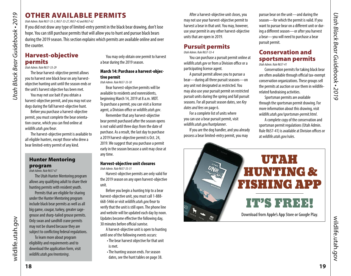# OTHER AVAILABLE PERMITS

*Utah Admin. Rule R657-33-3, R657-33-27, R657-42 and R657-62* 

If you did not draw any type of limited-entry permit in the black bear drawing, don't lose hope. You can still purchase permits that will allow you to hunt and pursue black bears during the 2019 season. This section explains which permits are available online and over the counter.

# <span id="page-9-3"></span>Harvest-objective permits

*Utah Admin. Rule R657-33-29*

*Utah Black Bear Guidebook • 2019*

<span id="page-9-0"></span>Utah Black Bear Guidebook . 2019

The bear harvest-objective permit allows you to harvest one black bear on any harvestobjective hunting unit until the season ends or the unit's harvest objective has been met.

You may not use bait if you obtain a harvest-objective permit, and you may not use dogs during the fall harvest-objective hunt.

Before you purchase a harvest-objective permit, you must complete the bear orientation course, which you can find online at *wildlife.utah.gov/bear*.

The harvest-objective permit is available to all eligible hunters, except those who drew a bear limited-entry permit of any kind.

# <span id="page-9-1"></span>Hunter Mentoring program

*Utah Admin. Rule R657-67*

The Utah Hunter Mentoring program allows any qualifying adult to share their hunting permits with resident youth.

Permits that are eligible for sharing under the Hunter Mentoring program include black bear permits as well as all big game, cougar, turkey, greater sagegrouse and sharp-tailed grouse permits. Only swan and sandhill crane permits may not be shared because they are subject to conflicting federal regulations.

To learn more about program eligibility and requirements and to download the application form, visit *wildlife.utah.gov/mentoring*.

You may only obtain one permit to harvest a bear during the 2019 season.

## March 14: Purchase a harvest-objective permit

*Utah Admin. Rule R657-33-30*

Bear harvest-objective permits will be available to residents and nonresidents, beginning March 14, 2019 at 8 a.m. MDT. To purchase a permit, you can visit a license agent, a Division office or *wildlife.utah.gov*.

Remember that any harvest-objective bear permit purchased after the season opens is not valid until three days from the date of purchase. As a result, the last day to purchase a 2019 harvest-objective permit is Oct. 24, 2019. We suggest that you purchase a permit early in the season because a unit may close at any time.

### Harvest-objective unit closures

*Utah Admin. Rule R657-33-31*

Harvest-objective permits are only valid for the 2019 season on any open harvest-objective unit.

Before you begin a hunting trip to a bear harvest-objective unit, you must call 1-888- 668-5466 or visit *wildlife.utah.gov/bear* to verify that the unit is still open. The phone line and website will be updated each day by noon. Updates become effective the following day, 30 minutes before official sunrise.

A harvest-objective unit is open to hunting until one of the following events occurs:

•The bear harvest objective for that unit is met.

•The hunting season ends. For season dates, see the hunt tables on [page 38.](#page-19-0)

After a harvest-objective unit closes, you may not use your harvest-objective permit to harvest a bear in that unit. You may, however, use your permit in any other harvest-objective units that are open in 2019.

# <span id="page-9-2"></span>Pursuit permits

*Utah Admin. Rule R657-33-4*

You can purchase a pursuit permit online at *wildlife.utah.gov* or from a Division office or a participating license agent.

A pursuit permit allows you to pursue a bear—during all three pursuit seasons—on any unit not designated as restricted. You may also use your pursuit permit on restricted pursuit units during the spring and fall pursuit seasons. For all pursuit season dates, see *Key dates and fees* on [page 6](#page-3-2).

For a complete list of units where you can use a bear pursuit permit, visit *wildlife.utah.gov/huntplanner*.

If you are the dog handler, and you already possess a bear limited-entry permit, you may

pursue bear on the unit—and during the season—for which the permit is valid. If you want to pursue bear on a different unit or during a different season—or after you harvest a bear—you will need to purchase a bear pursuit permit.

### Conservation and sportsman permits *Utah Admin. Rule R657-41*

Conservation permits for taking black bear are often available through official tax-exempt conservation organizations. These groups sell the permits at auction or use them in wildliferelated fundraising activities.

Sportsman permits are available through the sportsman permit drawing. For more information about this drawing, visit *wildlife.utah.gov/sportsman-permit.html*.

A complete copy of the conservation and sportsman permit regulations (Utah Admin. Rule R657-41) is available at Division offices or at *wildlife.utah.gov/rules*.



wildlife.utah.gov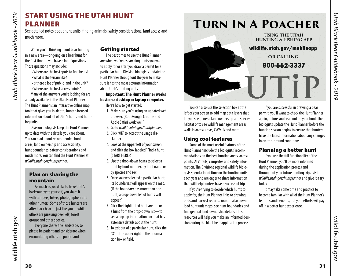# <span id="page-10-1"></span>START USING THE UTAH HUNT PLANNER

See detailed notes about hunt units, finding animals, safety considerations, land access and much more.

When you're thinking about bear hunting in a new area—or going on a bear hunt for the first time—you have a lot of questions. Those questions may include:

- •Where are the best spots to find bears?
- •What is the terrain like?
- •Is there a lot of public land in the unit?

•Where are the best access points?

Many of the answers you're looking for are already available in the Utah Hunt Planner. The Hunt Planner is an interactive online map tool that gives you in-depth, hunter-focused information about all of Utah's hunts and hunting units.

Division biologists keep the Hunt Planner up to date with the details you care about. You can read about recommended hunt areas, land ownership and accessibility, hunt boundaries, safety considerations and much more. You can find the Hunt Planner at *wildlife.utah.gov/huntplanner*.

# Plan on sharing the mountain

As much as you'd like to have Utah's backcountry to yourself, you share it with campers, hikers, photographers and other hunters. Some of those hunters are after black bear—just like you—while others are pursuing deer, elk, forest grouse and other species.

Everyone shares the landscape, so please be patient and considerate when encountering others on public land.

# Getting started

The best times to use the Hunt Planner are when you're researching hunts you want to apply for or after you draw a permit for a particular hunt. Division biologists update the Hunt Planner throughout the year to make sure it has the most accurate information about Utah's hunting units.

Important: The Hunt Planner works best on a desktop or laptop computer.

Here's how to get started:

- 1. Make sure you're using an updated web browser. (Both Google Chrome and Apple Safari work well.)
- 2. Go to *wildlife.utah.gov/huntplanner*.
- 3. Click "OK" to accept the usage disclaimer.
- 4. Look at the upper left of your screen and click the box labeled "Find a hunt (START HERE)."
- 5. Use the drop-down boxes to select a hunt by hunt number, by hunt name or by species and sex.
- 6. Once you've selected a particular hunt, its boundaries will appear on the map. (If the boundary has more than one hunt, a drop-down list of hunts will appear.)
- 7. Click the highlighted hunt area—or a hunt from the drop-down list—to see a pop-up information box that has extensive details about the hunt.
- 8. To exit out of a particular hunt, click the "X" at the upper right of the information box or field.



You can also use the selection box at the left of your screen to add map data layers that let you see general land ownership and species habitat or to see wildlife management areas, walk-in access areas, CWMUs and more.

### Using cool features

Some of the most useful features of the Hunt Planner include the biologists' recommendations on the best hunting areas, access points, ATV trails, campsites and safety information. The Division's regional wildlife biologists spend a lot of time on the hunting units each year and are eager to share information that will help hunters have a successful trip.

If you're trying to decide which hunts to apply for, the Hunt Planner links to drawing odds and harvest reports. You can also download hunt unit maps, see hunt boundaries and find general land-ownership details. These resources will help you make an informed decision during the black bear application process.

If you are successful in drawing a bear permit, you'll want to check the Hunt Planner again, before you head out on your hunt. The biologists update the Hunt Planner before the hunting season begins to ensure that hunters have the latest information about any changes in on-the-ground conditions.

# Planning a better hunt

If you use the full functionality of the Hunt Planner, you'll be more informed during the application process and throughout your future hunting trips. Visit *wildlife.utah.gov/huntplanner* and give it a try today.

It may take some time and practice to become familiar with all of the Hunt Planner's features and benefits, but your efforts will pay off in a better hunt experience.

*Utah Black Bear Guidebook • 2019*

<span id="page-10-0"></span>**Utah Black Bear Guidebook • 2019**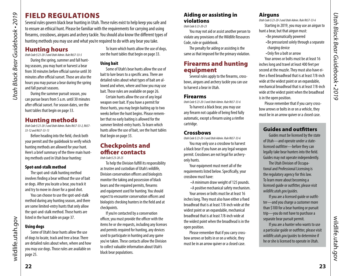# Utah Black Bear Guidebook . 2019 *Utah Black Bear Guidebook • 2019*

# <span id="page-11-3"></span>FIELD REGULATIONS

Several rules govern black bear hunting in Utah. These rules exist to help keep you safe and to ensure an ethical hunt. Please be familiar with the requirements for carrying and using firearms, crossbows, airguns and archery tackle. You should also know the different types of hunting methods you may use and what you're required to do with any bear you take.

# Hunting hours

*Utah Code § 23-20-3 and Utah Admin. Rule R657-33-5*

During the spring, summer and fall hunting seasons, you may hunt or harvest a bear from 30 minutes before official sunrise until 30 minutes after official sunset. Those are also the hours you may pursue a bear during the spring and fall pursuit seasons.

During the summer pursuit season, you can pursue bears from 5 a.m. until 30 minutes after official sunset. For season dates, see the hunt tables that begin on [page 33.](#page-16-3)

# Hunting methods

*Utah Code § 23-20-3 and Utah Admin. Rules R657-33-2, R657- 33-12 and R657-33-13* 

Before heading into the field, check both your permit and the guidebook to verify which hunting methods are allowed for your hunt. Here's a brief summary of the three main hunting methods used in Utah bear hunting:

## Spot-and-stalk method

The spot-and-stalk hunting method involves finding a bear without the use of bait or dogs. After you locate a bear, you track it and try to move in closer for a good shot.

You can choose to use the spot-and-stalk method during any hunting season, and there are some limited-entry hunts that only allow the spot-and-stalk method. Those hunts are listed in the hunt table on [page 37.](#page-18-2)

# Using dogs

Some of Utah's bear hunts allow the use of dogs to locate, track and tree a bear. There are detailed rules about when, where and how you may use dogs. Those rules are available on [page 25.](#page-12-0)

To learn which hunts allow the use of dogs, see the hunt tables that begin on [page 33](#page-16-3).

# Using bait

Some of Utah's bear hunts allow the use of bait to lure bears to a specific area. There are detailed rules about what types of bait are allowed and when, where and how you may use bait. Those rules are available on [page 26](#page-13-2).

Certain hunts allow the use of any legal weapon over bait. If you have a permit for those hunts, you may begin baiting up to two weeks before the hunt begins. Please remember that no early baiting is allowed for the summer limited-entry hunts. To learn which hunts allow the use of bait, see the hunt tables that begin on [page 33](#page-16-3).

# Checkpoints and officer contacts

*Utah Code § 23-20-25*

To help the Division fulfill its responsibility as trustee and custodian of Utah's wildlife, Division conservation officers and biologists monitor the taking and possession of black bears and the required permits, firearms and equipment used for hunting. You should expect to encounter conservation officers and biologists checking hunters in the field and at checkpoints.

If you're contacted by a conservation officer, you must provide the officer with the items he or she requests, including any licenses and permits required for hunting, any devices used to participate in hunting and any game you've taken. These contacts allow the Division to collect valuable information about Utah's black bear populations.

# Aiding or assisting in violations

*Utah Code § 23-20-23*

You may not aid or assist another person to violate any provisions of the Wildlife Resources Code, rule or guidebook.

The penalty for aiding or assisting is the same as that imposed for the primary violation.

# <span id="page-11-1"></span>Firearms and hunting equipment

Several rules apply to the firearms, crossbows, airguns and archery tackle you can use to harvest a bear in Utah.

# Firearms

*Utah Code § 23-20-3 and Utah Admin. Rule R657-33-6*

To harvest a black bear, you may use any firearm not capable of being fired fully automatic, except a firearm using a rimfire cartridge.

# **Crossbows**

*Utah Code § 23-20-3 and Utah Admin. Rule R657-33-6*

You may only use a crossbow to harvest a black bear if you have an any legal weapon permit. Crossbows are not legal for archeryonly hunts.

Your equipment must meet all of the requirements listed below. Specifically, your crossbow must have:

•A minimum draw weight of 125 pounds. •A positive mechanical safety mechanism.

Your arrows or bolts must be at least 16 inches long. They must also have either a fixed broadhead that is at least 7/8-inch wide at the widest point or an expandable, mechanical broadhead that is at least 7/8-inch wide at the widest point when the broadhead is in the open position.

Please remember that if you carry crossbow arrows or bolts in or on a vehicle, they must be in an arrow quiver or a closed case.

# **Airguns**

*Utah Code § 23-20-3 and Utah Admin. Rule R657-33-6*

Starting in 2019, you may use an airgun to hunt a bear, but that airgun must:

- •Be pneumatically powered
- •Be pressurized solely through a separate charging device
- •Only fire a bolt or arrow

Your arrows or bolts must be at least 16 inches long and travel at least 400 feet per second at the muzzle. They must also have either a fixed broadhead that is at least 7/8-inch wide at the widest point or an expandable, mechanical broadhead that is at least 7/8-inch wide at the widest point when the broadhead is in the open position.

Please remember that if you carry crossbow arrows or bolts in or on a vehicle, they must be in an arrow quiver or a closed case.

# <span id="page-11-2"></span>Guides and outfitters

Guides must be licensed by the state of Utah—and operate under a statelicensed outfitter—before they can legally take bear hunters into the field. Guides may not operate independently.

The Utah Division of Occupational and Professional Licensing is the regulatory agency for this law. To learn more about becoming a licensed guide or outfitter, please visit *[wildlife.utah.gov/guides](http://wildlife.utah.gov/guides)*.

If you are a licensed guide or outfitter—and you charge a customer more than \$100 for a bear hunting or pursuit trip—you do not have to purchase a separate bear pursuit permit.

If you are a hunter who wants to use a particular guide or outfitter, please visit *[wildlife.utah.gov/guides](http://wildlife.utah.gov/guides)* to determine if he or she is licensed to operate in Utah.

*Utah Black Bear Guidebook • 2019*

<span id="page-11-0"></span>**Utah Black Bear Guidebook • 2019** 

wildlife.utah.gov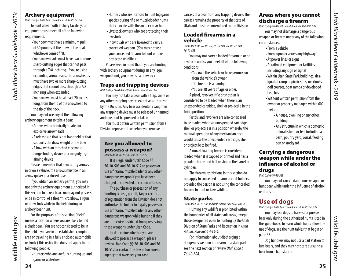### Archery equipment

*Utah Code § 23-20-3 and Utah Admin. Rule R657-33-6* To hunt a bear with archery tackle, your equipment must meet all of the following requirements:

- •Your bow must have a minimum pull of 30 pounds at the draw or the peak, whichever comes first.
- •Your arrowheads must have two or more sharp-cutting edges that cannot pass through a 7/8 inch ring. If you're using expanding arrowheads, the arrowheads must have two or more sharp-cutting edges that cannot pass through a 7/8 inch ring when expanded.
- •Your arrows must be at least 20 inches long, from the tip of the arrowhead to the tip of the nock.

You may not use any of the following archery equipment to take a bear:

- •Arrows with chemically treated or explosive arrowheads
- •A release aid that is not handheld or that supports the draw weight of the bow
- •A bow with an attached electronic range-finding device or a magnifyingaiming device

Please remember that if you carry arrows in or on a vehicle, the arrows must be in an arrow quiver or a closed case.

If you obtain an archery permit, you may use only the archery equipment authorized in this section to take a bear. You may not possess or be in control of a firearm, crossbow, airgun or draw-lock while in the field during an archery bear hunt.

For the purposes of this section, "field"

•Hunters who are lawfully hunting upland

game or waterfowl.

- •Hunters who are licensed to hunt big game species during rifle or muzzleloader hunts that coincide with the archery bear hunt. •Livestock owners who are protecting their
- livestock.
- •Individuals who are licensed to carry a concealed weapon. (You may not use your concealed firearm to hunt or take protected wildlife.)

Please keep in mind that if you are hunting with archery equipment during an any legal weapon hunt, you may use a draw lock.

# Traps and trapping devices

*Utah Code § 23-20-3 and Utah Admin. Rule R657-33-7*

You may not take a bear with a trap, snare or any other trapping device, except as authorized by the Division. Any bear accidentally caught in any trapping device must be released unharmed, and must not be pursued or taken.

You must obtain written permission from a Division representative before you remove the

# Are you allowed to possess a weapon?

*Utah Code §§ 76-10-503 and 76-10-512*

It is illegal under Utah Code §§ 76-10-503 and 76-10-512 to possess or use a firearm, muzzleloader or any other dangerous weapon if you have been charged or convicted of certain offenses.

The purchase or possession of any hunting license, permit, tag or certificate of registration from the Division does not authorize the holder to legally possess or use a firearm, muzzleloader or any other dangerous weapon while hunting if they are otherwise restricted from possessing these weapons under Utah Code.

To determine whether you are allowed to possess a weapon, please review Utah Code §§ 76-10-503 and 76- 10-512 or contact the law enforcement agency that oversees your case.

carcass of a bear from any trapping device. The carcass remains the property of the state of Utah and must be surrendered to the Division.

# Loaded firearms in a vehicle

*Utah Code §§§§ 76-10-502, 76-10-504, 76-10-505 and 76-10-523*

You may not carry a loaded firearm in or on a vehicle unless you meet all of the following conditions:

- •You own the vehicle or have permission from the vehicle's owner.
- •The firearm is a handgun.
- •You are 18 years of age or older.
- A pistol, revolver, rifle or shotgun is considered to be loaded when there is an unexpended cartridge, shell or projectile in the firing position.

Pistols and revolvers are also considered to be loaded when an unexpended cartridge, shell or projectile is in a position whereby the manual operation of any mechanism once would cause the unexpended cartridge, shell or projectile to be fired.

A muzzleloading firearm is considered loaded when it is capped or primed and has a powder charge and ball or shot in the barrel or cylinders.

The firearm restrictions in this section do not apply to concealed firearm permit holders, provided the person is not using the concealed firearm to hunt or take wildlife.

### State parks

*Utah Code § 76-10-508 and Utah Admin. Rule R651-614-4*

Hunting any wildlife is prohibited within the boundaries of all state park areas, except those designated open to hunting by the Utah Division of State Parks and Recreation in *Utah Admin. Rule R651-614-4*.

For information about discharging a dangerous weapon or firearm in a state park, see the next section or review *Utah Code § 76-10-508*.

# Areas where you cannot discharge a firearm

*Utah Code § 76-10-508 and Utah Admin. Rule R657-12* You may not discharge a dangerous weapon or firearm under any of the following circumstances:

- •From a vehicle
- •From, upon or across any highway
- •At power lines or signs
- •At railroad equipment or facilities, including any sign or signal
- •Within Utah State Park buildings, designated camp or picnic sites, overlooks, golf courses, boat ramps or developed beaches
- •Without written permission from the owner or property manager, within 600 feet of:
	- •A house, dwelling or any other building
	- •Any structure in which a domestic animal is kept or fed, including a barn, poultry yard, corral, feeding pen or stockyard

## Carrying a dangerous weapon while under the influence of alcohol or drugs

*Utah Code § 76-10-528*

You may not carry a dangerous weapon or hunt bear while under the influence of alcohol or drugs.

# <span id="page-12-0"></span>Use of dogs

*Utah Code § 23-20-3 and Utah Admin. Rule R657-33-12*

You may use dogs to harvest or pursue bear only during the authorized hunts listed in this guidebook. To learn which hunts allow the use of dogs, see the hunt tables that begin on [page 33.](#page-16-3)

Dog handlers may not use a bait station to lure bears, and they may not start pursuing a bear from a bait station.

*Utah Black Bear Guidebook • 2019*

Utah Black Bear Guidebook . 2019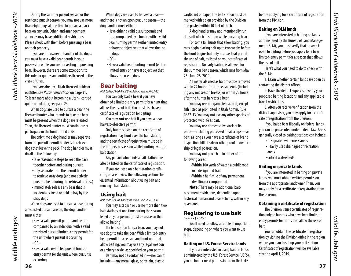<span id="page-13-0"></span>During the summer pursuit season or the restricted pursuit season, you may not use more than eight dogs at one time to pursue a black bear on any unit. Other land-management agencies may have additional restrictions. Please check with them before pursuing a bear on their property.

If you are the owner or handler of the dogs, you must have a valid bear permit in your possession while you are harvesting or pursuing bear. However, there are some exceptions to this rule for guides and outfitters licensed in the state of Utah.

If you are already a Utah-licensed guide or outfitter, see *Pursuit restrictions* on [page 31](#page-15-3). To learn more about becoming a Utah-licensed guide or outfitter, see [page 23.](#page-11-2)

When dogs are used to pursue a bear, the licensed hunter who intends to take the bear must be present when the dogs are released. Then, the licensed hunter must continuously participate in the hunt until it ends.

The only time a dog handler may separate from the pursuit-permit holder is to retrieve dogs that leave the pack. The dog handler must do all of the following:

- •Take reasonable steps to keep the pack together before and during pursuit
- •Only separate from the permit holder to retrieve stray dogs (and not actively pursue a bear during the retrieval process)
- •Immediately release any bear that is incidentally treed or held at bay by the stray dogs

When dogs are used to pursue a bear during a restricted pursuit season, the dog handler must either:

- •Have a valid pursuit permit and be accompanied by an individual with a valid restricted pursuit limited-entry permit for the unit where pursuit is occurring  $-OR-$
- •Have a valid restricted pursuit limitedentry permit for the unit where pursuit is occurring

When dogs are used to harvest a bearand there is not an open pursuit season—the dog handler must either:

- •Have either a valid pursuit permit and be accompanied by a hunter with a valid bear hunting permit (either limited entry or harvest objective) that allows the use of dogs
- $-OR-$
- •Have a valid bear hunting permit (either limited entry or harvest objective) that allows the use of dogs

# <span id="page-13-2"></span>Bear baiting

*Utah Code § 23-20-3 and Utah Admin. Rule R657-33-13* You can only bait a bear if you have obtained a limited-entry permit for a hunt that allows the use of bait. You must also have a certificate of registration for baiting.

You may not use bait if you have a bear harvest-objective permit.

Only hunters listed on the certificate of registration may hunt over the bait station, and the certificate of registration must be in the hunters' possession while hunting over the bait station.

Any person who tends a bait station must also be listed on the certificate of registration.

If you are listed on a bait-station certificate, please review the following sections for essential information about using bait and moving a bait station.

### Using bait

*Utah Code § 23-20-3 and Utah Admin. Rule R657-33-14*

You may establish or use no more than two bait stations at one time during the season listed on your permit (must be a season that allows baiting).

If a bait station lures a bear, you may not use dogs to take the bear. With a limited-entry bear permit for a season and hunt unit that allow baiting, you may use any legal weapon or archery tackle, as specified on your permit.

Bait may not be contained in—nor can it include—any metal, glass, porcelain, plastic, cardboard or paper. The bait station must be marked with a sign provided by the Division and posted within 10 feet of the bait.

A dog handler may not intentionally run dogs off of a bait station while pursuing bear.

For some fall hunts that allow baiting, you may begin placing bait up to two weeks before the hunt begins but only in areas that permit the use of bait, as listed on your certificate of registration. No early baiting is allowed for the summer bait season, which runs from May 25–June 28, 2019.

All materials used as bait must be removed within 72 hours after the season ends (including any midseason breaks) or within 72 hours after the hunter harvests a bear.

You may use nongame fish as bait, except fish listed as prohibited in Utah Admin. Rule R657-13. You may not use any other species of protected wildlife as bait.

You may use domestic livestock or its parts—including processed meat scraps—as bait, as long as you have a certificate of brand inspection, bill of sale or other proof of ownership or legal possession.

You may not place bait in either of the following areas:

- •Within 100 yards of water, a public road or a designated trail
- •Within a half-mile of any permanent dwelling or campground

Note: There may be additional baitplacement restrictions, depending upon historical human and bear activity, within any given area.

# Registering to use bait

*Utah Code § 23-20-3* 

You'll need to follow a couple of important steps, depending on where you want to use bait.

### Baiting on U.S. Forest Service lands

If you are interested in using bait on lands administered by the U.S. Forest Service (USFS), you no longer need permission from the USFS

before applying for a certificate of registration from the Division.

### Baiting on BLM lands

If you are interested in baiting on lands administered by the Bureau of Land Management (BLM), you must verify that an area is open to baiting before you apply for a bear limited-entry permit for a season that allows the use of bait.

Here's what you need to do to check with the BLM:

1. Learn whether certain lands are open by contacting the district offices.

2. Have the district supervisor verify your proposed baiting locations and any applicable travel restrictions.

3. After you receive verification from the district supervisor, you may apply for a certificate of registration from the Division.

If you bait a bear illegally on federal lands, you can be prosecuted under federal law. Areas generally closed to baiting stations can include:

- •Designated wilderness areas
- •Heavily used drainages or recreation areas
- •Critical watersheds

### Baiting on private lands

If you are interested in baiting on private lands, you must obtain written permission from the appropriate landowner. Then, you may apply for a certificate of registration from the Division.

## <span id="page-13-1"></span>Obtaining a certificate of registration

The Division issues certificates of registration only to hunters who have bear limitedentry permits for hunts that allow the use of bait.

You can obtain the certificate of registration by visiting the Division office in the region where you plan to set up your bait station. Certificates of registration will be available starting April 1, 2019.

wildlife.utah.gov

wildlife.utah.gov

wildlife.utah.gov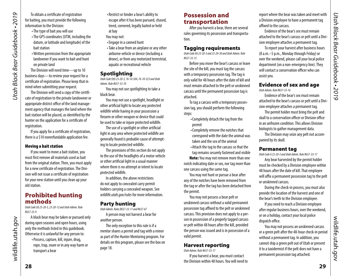<span id="page-14-0"></span>Utah Black Bear Guidebook . 2019 *Utah Black Bear Guidebook • 2019*

To obtain a certificate of registration for baiting, you must provide the following information to the Division:

- •The type of bait you will use
- •The GPS coordinates (UTM, including the datum, or latitude and longitude) of the bait station
- •Written permission from the appropriate landowner if you want to bait and hunt on private land

The Division will need time—up to 10 business days—to review your request for a certificate of registration. Please keep that in mind when submitting your request.

The Division will send a copy of the certificate of registration to the private landowner or appropriate district office of the land management agency that manages the land where the bait station will be placed, as identified by the hunter on the application for a certificate of registration.

If you apply for a certificate of registration, there is a \$10 nonrefundable application fee.

### Moving a bait station

If you want to move a bait station, you must first remove all materials used as bait from the original station. Then, you must apply for a new certificate of registration. The Division will not issue a certificate of registration for your new station until you clean up your old station.

# Prohibited hunting methods

*Utah Code §§ 23-20-3, 23-20-12 and Utah Admin. Rule R657-33-9*

A black bear may be taken or pursued only during open seasons and open hours, using only the methods listed in this guidebook. Otherwise it is unlawful for any person to:

•Possess, capture, kill, injure, drug, rope, trap, snare or in any way harm or transport a bear

• Restrict or hinder a bear's ability to escape after it has been pursued, chased, treed, cornered, legally baited or held at bay

You may not:

- •Engage in a canned hunt
- •Take a bear from an airplane or any other airborne vehicle or device (including a drone), or from any motorized terrestrial, aquatic or recreational vehicle

### **Spotlighting**

*Utah Code §§§ 23-20-3, 76-10-504, 76-10-523 and Utah Admin. Rule R657-33-10*

You may not use spotlighting to take a black bear.

You may not use a spotlight, headlight or other artificial light to locate any protected wildlife while having in your possession a firearm or other weapon or device that could be used to take or injure protected wildlife.

The use of a spotlight or other artificial light in any area where protected wildlife are generally found is probable cause of attempting to locate protected wildlife.

The provisions of this section do not apply to the use of the headlights of a motor vehicle or other artificial light in a usual manner where there is no attempt or intent to locate protected wildlife.

In addition, the above restrictions do not apply to concealed carry permit holders carrying a concealed weapon. See *[wildlife.utah.gov/rules](http://wildlife.utah.gov/rules)* for more information.

### Party hunting

*Utah Admin. Rules R657-33-11 and R657-67*

A person may not harvest a bear for another person.

The only exception to this rule is if a mentor shares a permit and tag with a minor as part of the Hunter Mentoring program. For details on this program, please see the box on page [18.](#page-9-1)

# Possession and transportation

After you harvest a bear, there are several rules governing its possession and transportation.

### Tagging requirements

*Utah Code §§ 23-20-3 and 23-20-30 and Utah Admin. Rule R657-33-15*

Before you move the bear's carcass or leave the site of the kill, you must tag the carcass with a temporary possession tag. The tag is only valid for 48 hours after the date of kill and must remain attached to the pelt or unskinned carcass until the permanent possession tag is attached.

To tag a carcass with a temporary possession tag, you should perform the following steps:

- •Completely detach the tag from the permit
- •Completely remove the notches that correspond with the date the animal was taken and the sex of the animal
- •Attach the tag to the carcass so that the tag remains securely fastened and visible

Note: You may not remove more than one notch indicating date or sex, nor tag more than one carcass using the same tag.

You may not hunt or pursue a bear after any of the notches have been removed from the tag or after the tag has been detached from the permit.

You may not possess a bear pelt or unskinned carcass without a valid permanent possession tag affixed to the pelt or unskinned carcass. This provision does not apply to a person in possession of a properly tagged carcass or pelt within 48 hours after the kill, provided the person was issued and is in possession of a valid permit.

# Harvest reporting

*Utah Admin. Rule R657-33-17*

If you harvest a bear, you must contact the Division within 48 hours. You will need to report where the bear was taken and meet with a Division employee to have a permanent tag affixed to the carcass.

Evidence of the bear's sex must remain attached to the bear's carcass or pelt until a Division employee attaches a permanent tag.

To report your harvest after business hours (8 a.m.–5 p.m., Monday through Friday) or over the weekend, please call your local police department (on a non-emergency line). They will contact a conservation officer who can assist you.

# Evidence of sex and age

*Utah Admin. Rule R657-33-16* Evidence of the bear's sex must remain

attached to the bear's carcass or pelt until a Division employee attaches a permanent tag.

The permit holder must bring the pelt and skull to a conservation officer or Division office in an unfrozen condition. This allows Division biologists to gather management data.

The Division may seize any pelt not accompanied by its skull.

### Permanent tag

*Utah Code § 23-20-3 and Utah Admin. Rule R657-33-17*

Any bear harvested by the permit holder must be checked by a Division employee within 48 hours after the date of kill. That employee will affix a permanent possession tag to the pelt or unskinned carcass.

During the check-in process, you must also provide the location of the harvest and one of the bear's teeth to the Division employee.

If you need to reach a Division employee after regular business hours, over the weekend, or on a holiday, contact your local police dispatch office.

You may not possess an unskinned carcass or a green pelt after the 48-hour check-in period without a permanent tag. In addition, you cannot ship a green pelt out of Utah or present it to a taxidermist if the pelt does not have a permanent possession tag attached.

wildlife.utah.gov

wildlife.utah.gov

wildlife.utah.gov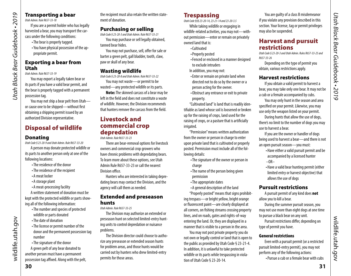# Transporting a bear

*Utah Admin. Rule R657-33-18*

If you are a permit holder who has legally harvested a bear, you may transport the carcass under the following conditions:

•The bear is properly tagged.

•You have physical possession of the appropriate permit.

# Exporting a bear from Utah

*Utah Admin. Rule R657-33-19*

*Utah Black Bear Guidebook • 2019*

<span id="page-15-0"></span>Utah Black Bear Guidebook . 2019

You may export a legally taken bear or its parts if you have a valid bear permit, and the bear is properly tagged with a permanent possession tag.

You may not ship a bear pelt from Utah or cause one to be shipped—without first obtaining a shipping permit issued by an authorized Division representative.

# Disposal of wildlife

### Donating

*Utah Code § 23-20-9 and Utah Admin. Rule R657-33-20*

A person may donate protected wildlife or its parts to another person only at one of the following locations:

- •The residence of the donor
- •The residence of the recipient
- •A meat locker
- •A storage plant

•A meat-processing facility A written statement of donation must be kept with the protected wildlife or parts show-

- ing all of the following information:
	- •The number and species of protected wildlife or parts donated
	- •The date of donation
	- •The license or permit number of the donor and the permanent possession tag number
	- •The signature of the donor

A green pelt of any bear donated to another person must have a permanent possession tag affixed. Along with the pelt, the recipient must also retain the written statement of donation.

# Purchasing or selling

*Utah Code § 23-20-3 and Utah Admin. Rule R657-33-21*

You may purchase or sell legally obtained, tanned bear hides.

You may not purchase, sell, offer for sale or barter a green pelt, gall bladder, tooth, claw, paw or skull of any bear.

# Wasting wildlife

*Utah Code § 23-20-8 and Utah Admin. Rule R657-33-22* You may not waste—or permit to be

wasted—any protected wildlife or its parts. Note: The skinned carcass of a bear may be left in the field and does not constitute a waste

of wildlife. However, the Division recommends that hunters remove the carcass from the field.

# Livestock and commercial crop depredation

*Utah Admin. Rule R657-33-23*

There are bear-removal options for livestock owners and commercial crop growers who have chronic problems with depredating bears. To learn more about these options, see Utah Admin Rule R657-33-23 or call the nearest Division office.

Hunters who are interested in taking depredating bears may contact the Division, and the agency will call them as needed.

# Extended and preseason hunts

*Utah Admin. Rule R657-33-25*

The Division may authorize an extended or preseason hunt on selected limited-entry hunting units to control depredation or nuisance problems.

The Division director could choose to authorize any preseason or extended season hunts for problem areas, and those hunts would be carried out by hunters who drew limited-entry permits for those areas.

# <span id="page-15-2"></span>**Trespassing**

*Utah Code §§§ 23-20-14, 23-21-14 and 23-20-3.5*

While taking wildlife or engaging in wildlife-related activities, you may not—without permission—enter or remain on privately owned land that is:

- •Cultivated
- •Properly posted
- •Fenced or enclosed in a manner designed to exclude intruders
- In addition, you may not:
- •Enter or remain on private land when directed not to do so by the owner or a person acting for the owner.
- •Obstruct any entrance or exit to private property.

"Cultivated land" is land that is readily identifiable as land whose soil is loosened or broken up for the raising of crops, land used for the raising of crops, or a pasture that is artificially irrigated.

"Permission" means written authorization from the owner or person in charge to enter upon private land that is cultivated or properly posted. Permission must include all of the following details:

- •The signature of the owner or person in charge
- The name of the person being given permission
- •The appropriate dates
- •A general description of the land

"Properly posted" means that signs prohibiting trespass—or bright yellow, bright orange or fluorescent paint—are clearly displayed at all corners, on fishing streams crossing property lines, and on roads, gates and rights-of-way entering the land. Or, they are displayed in a manner that is visible to a person in the area.

You may not post private property you do not own or legally control or land that is open to the public as provided by Utah Code § 23-21-4. In addition, it is unlawful to take protected wildlife or its parts while trespassing in violation of Utah Code § 23-20-14.

You are guilty of a class B misdemeanor if you violate any provision described in this section. Your license, tag or permit privileges may also be suspended.

# <span id="page-15-1"></span>Harvest and pursuit restrictions

*Utah Code § 23-20-3 and Utah Admin. Rules R657-33-25 and R657-33-26* 

Depending on the type of permit you obtain, various restrictions apply.

# Harvest restrictions

If you obtain a valid permit to harvest a bear, you may take only one bear. It may not be a cub or a female accompanied by cubs.

You may only hunt in the season and area specified on your permit. Likewise, you may use only the weapon listed on your permit.

During hunts that allow the use of dogs, there's no limit to the number of dogs you may use to harvest a bear.

If you are the owner or handler of dogs being used to harvest a bear—and there is not an open pursuit season—you must:

- •Have either a valid pursuit permit and be accompanied by a licensed hunter  $-OR-$
- •Have a valid bear hunting permit (either limited entry or harvest objective) that allows the use of dogs

# <span id="page-15-3"></span>Pursuit restrictions

A pursuit permit of any kind does not allow you to kill a bear.

During the summer pursuit season, you may not use more than eight dogs at one time to pursue a black bear on any unit.

Pursuit restrictions differ, depending on type of permit you have.

### General restrictions

Even with a pursuit permit (or a restricted pursuit limited-entry permit), you may not perform any of the following actions:

•Pursue a cub or a female bear with cubs

wildlife.utah.gov

wildlife.utah.gov

wildlife.utah.gov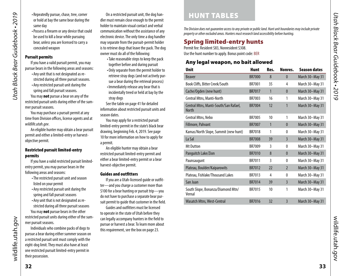- <span id="page-16-0"></span>• Repeatedly pursue, chase, tree, corner or hold at bay the same bear during the same day
- •Possess a firearm or any device that could be used to kill a bear while pursuing bear, unless you are licensed to carry a concealed weapon

### Pursuit permits

If you have a valid pursuit permit, you may pursue bears in the following areas and seasons:

- •Any unit that is not designated as restricted during all three pursuit seasons.
- •Any restricted pursuit unit during the spring and fall pursuit seasons.

You may **not** pursue a bear on any of the restricted pursuit units during either of the summer pursuit seasons.

You may purchase a pursuit permit at any time from Division offices, license agents and at *[wildlife.utah.gov](http://wildlife.utah.gov)*.

An eligible hunter may obtain a bear pursuit permit and either a limited-entry or harvestobjective permit.

### <span id="page-16-4"></span>Restricted pursuit limited-entry permits

If you have a valid restricted pursuit limitedentry permit, you may pursue bears in the following areas and seasons:

- •The restricted pursuit unit and season listed on your permit
- •Any restricted pursuit unit during the spring and fall pursuit seasons
- •Any unit that is not designated as restricted during all three pursuit seasons You may **not** pursue bears in the other

restricted pursuit units during either of the summer pursuit seasons. Individuals who combine packs of dogs to

pursue a bear during either summer season on a restricted pursuit unit must comply with the eight-dog limit. They must also have at least one restricted pursuit limited-entry permit in their possession.

On a restricted pursuit unit, the dog handler must remain close enough to the permit holder to maintain visual contact and verbal communication without the assistance of any electronic device. The only time a dog handler may separate from the pursuit-permit holder is to retrieve dogs that leave the pack. The dog owner must do all of the following:

- •Take reasonable steps to keep the pack together before and during pursuit
- •Only separate from the permit holder to retrieve stray dogs (and not actively pursue a bear during the retrieval process)
- •Immediately release any bear that is incidentally treed or held at bay by the stray dogs

See the table on [page 41](#page-20-1) for detailed information about restricted pursuit units and season dates.

You may apply for a restricted pursuit limited-entry permit in the state's black bear drawing, beginning Feb. 4, 2019. See [page](#page-5-2)  [10](#page-5-2) for more information on how to apply for a permit.

An eligible hunter may obtain a bear restricted pursuit limited-entry permit and either a bear limited-entry permit or a bear harvest-objective permit.

### Guides and outfitters

If you are a Utah-licensed guide or outfitter—and you charge a customer more than \$100 for a bear hunting or pursuit trip—you do not have to purchase a separate bear pursuit permit to quide that customer in the field.

Guides and outfitters must be licensed to operate in the state of Utah before they can legally accompany hunters in the field to pursue or harvest a bear. To learn more about this requirement, see the box on page [23.](#page-11-2)

# <span id="page-16-3"></span>HUNT TABLES

*The Division does not guarantee access to any private or public land. Hunt unit boundaries may include private property or other excluded areas. Hunters must research land accessibility before hunting.*

# <span id="page-16-1"></span>Spring limited-entry hunts

Permit fee: Resident \$83, Nonresident \$308. Use the hunt number to apply. Bonus point code: BER

# <span id="page-16-2"></span>Any legal weapon, no bait allowed

| <b>Unit</b>                                           | <b>Hunt</b>   | Res. | Nonres.        | <b>Season dates</b> |
|-------------------------------------------------------|---------------|------|----------------|---------------------|
| <b>Beaver</b>                                         | <b>BR7000</b> | 8    | $\mathbf{0}$   | March 30-May 31     |
| Book Cliffs, Bitter Creek/South                       | <b>BR7001</b> | 35   | 4              | March 30-May 31     |
| Cache/Ogden (new hunt)                                | <b>BR7017</b> | 1    | $\mathbf{0}$   | March 30-May 31     |
| Central Mtns, Manti-North                             | BR7003        | 16   | 1              | March 30-May 31     |
| Central Mtns, Manti-South/San Rafael,<br><b>North</b> | <b>BR7004</b> | 12   | 1              | March 30-May 31     |
| Central Mtns, Nebo                                    | BR7005        | 10   | 1              | March 30-May 31     |
| Fillmore, Pahvant                                     | <b>BR7007</b> | 1    | $\bf{0}$       | March 30-May 31     |
| Kamas/North Slope, Summit (new hunt)                  | <b>BR7018</b> | 1    | 0              | March 30-May 31     |
| La Sal                                                | <b>BR7008</b> | 39   | $\overline{3}$ | March 30-May 31     |
| <b>Mt Dutton</b>                                      | BR7009        | 3    | 0              | March 30-May 31     |
| Panguitch Lake/Zion                                   | <b>BR7010</b> | 8    | $\mathbf{0}$   | March 30-May 31     |
| Paunsaugunt                                           | <b>BR7011</b> | 3    | 0              | March 30-May 31     |
| Plateau, Boulder/Kaiparowits                          | <b>BR7012</b> | 22   | $\overline{2}$ | March 30-May 31     |
| Plateau, Fishlake/Thousand Lakes                      | BR7013        | 4    | 0              | March 30-May 31     |
| San Juan                                              | <b>BR7014</b> | 39   | $\overline{3}$ | March 30-May 31     |
| South Slope, Bonanza/Diamond Mtn/<br>Vernal           | <b>BR7015</b> | 10   | 1              | March 30-May 31     |
| Wasatch Mtns, West-Central                            | <b>BR7016</b> | 32   | $\overline{3}$ | March 30-May 31     |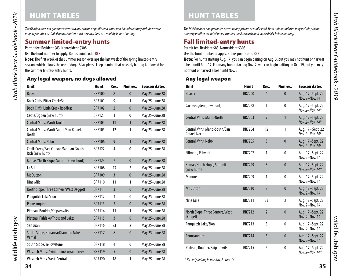# HUNT TABLES

Utah Black Bear Guidebook • 2019 *Utah Black Bear Guidebook • 2019*

*The Division does not guarantee access to any private or public land. Hunt unit boundaries may include private property or other excluded areas. Hunters must research land accessibility before hunting.*

# Summer limited-entry hunts

Permit fee: Resident \$83, Nonresident \$308.

Use the hunt number to apply. Bonus point code: BER

Note: The first week of the summer season overlaps the last week of the spring limited-entry season, which allows the use of dogs. Also, please keep in mind that no early baiting is allowed for the summer limited-entry hunts.

# Any legal weapon, no dogs allowed

| <b>Unit</b>                                             | <b>Hunt</b>   | Res.           | Nonres.        | <b>Season dates</b> |
|---------------------------------------------------------|---------------|----------------|----------------|---------------------|
| <b>Beaver</b>                                           | <b>BR7100</b> | 8              | $\mathbf{0}$   | May 25-June 28      |
| Book Cliffs, Bitter Creek/South                         | BR7101        | 9              | 1              | May 25-June 28      |
| <b>Book Cliffs, Little Creek Roadless</b>               | BR7102        | $\overline{2}$ | $\mathbf{0}$   | May 25-June 28      |
| Cache/Ogden (new hunt)                                  | <b>BR7121</b> | 1              | $\theta$       | May 25-June 28      |
| Central Mtns, Manti-North                               | <b>BR7104</b> | 11             | $\mathbf{1}$   | May 25-June 28      |
| Central Mtns, Manti-South/San Rafael,<br>North          | BR7105        | 12             | 1              | May 25-June 28      |
| <b>Central Mtns, Nebo</b>                               | <b>BR7106</b> | 9              | $\mathbf{1}$   | May 25-June 28      |
| Chalk Creek/East Canyon/Morgan-South<br>Rich (new hunt) | BR7122        | 4              | $\mathbf{0}$   | May 25-June 28      |
| Kamas/North Slope, Summit (new hunt)                    | <b>BR7123</b> | $\overline{7}$ | $\mathbf{0}$   | May 25-June 28      |
| La Sal                                                  | <b>BR7108</b> | 23             | 2              | May 25-June 28      |
| <b>Mt Dutton</b>                                        | <b>BR7109</b> | $\overline{3}$ | $\mathbf{0}$   | May 25-June 28      |
| Nine Mile                                               | <b>BR7110</b> | 11             | 1              | May 25-June 28      |
| North Slope, Three Corners/West Daggett                 | <b>BR7111</b> | $\overline{3}$ | $\mathbf{0}$   | May 25-June 28      |
| Panguitch Lake/Zion                                     | <b>BR7112</b> | 4              | 0              | May 25-June 28      |
| Paunsaugunt                                             | <b>BR7113</b> | $\overline{3}$ | $\mathbf{0}$   | May 25-June 28      |
| Plateau, Boulder/Kaiparowits                            | <b>BR7114</b> | 11             | 1              | May 25-June 28      |
| Plateau, Fishlake/Thousand Lakes                        | <b>BR7115</b> | $\overline{3}$ | $\mathbf{0}$   | May 25-June 28      |
| San Juan                                                | <b>BR7116</b> | 23             | $\overline{2}$ | May 25-June 28      |
| South Slope, Bonanza/Diamond Mtn/<br>Vernal             | <b>BR7117</b> | 8              | $\mathbf{0}$   | May 25-June 28      |
| South Slope, Yellowstone                                | <b>BR7118</b> | 4              | $\mathbf{0}$   | May 25-June 28      |
| Wasatch Mtns, Avintaguin/Currant Creek                  | <b>BR7119</b> | 5              | $\mathbf{0}$   | May 25-June 28      |
| Wasatch Mtns, West-Central                              | <b>BR7120</b> | 18             | 1              | May 25-June 28      |

HUNT TABLES

*The Division does not guarantee access to any private or public land. Hunt unit boundaries may include private property or other excluded areas. Hunters must research land accessibility before hunting.*

# <span id="page-17-0"></span>Fall limited-entry hunts

Permit fee: Resident \$83, Nonresident \$308.

Use the hunt number to apply. Bonus point code: BER

Note: For hunts starting Aug. 17, you can begin baiting on Aug. 3, but you may not hunt or harvest a bear until Aug. 17. For many hunts starting Nov. 2, you can begin baiting on Oct. 19, but you may not hunt or harvest a bear until Nov. 2.

# Any legal weapon

| <b>Unit</b>                                       | <b>Hunt</b>   | Res.           | Nonres.        | <b>Season dates</b>                     |
|---------------------------------------------------|---------------|----------------|----------------|-----------------------------------------|
| <b>Beaver</b>                                     | <b>BR7200</b> | $\overline{4}$ | $\Omega$       | Aug. 17-Sept. 22<br>Nov. 2-Nov. 14      |
| Cache/Ogden (new hunt)                            | <b>BR7228</b> | 1              | $\mathbf{0}$   | Aug. 17-Sept. 22<br>Nov. $2 - Nov. 14*$ |
| Central Mtns, Manti-North                         | <b>BR7203</b> | $\overline{9}$ | 1              | Aug. 17-Sept. 22<br>Nov. 2-Nov. 14*     |
| Central Mtns, Manti-South/San<br>Rafael, North    | BR7204        | 12             | 1              | Aug. 17 - Sept. 22<br>Nov. $2-Nov. 14*$ |
| Central Mtns, Nebo                                | <b>BR7205</b> | $\overline{3}$ | $\mathbf{0}$   | Aug. 17-Sept. 22<br>Nov. 2-Nov. $14*$   |
| Fillmore, Pahvant                                 | <b>BR7207</b> | 1              | $\mathbf{0}$   | Aug. 17-Sept. 22<br>Nov. 2-Nov. 14      |
| Kamas/North Slope, Summit<br>(new hunt)           | <b>BR7229</b> | 5              | $\mathbf{0}$   | Aug. 17-Sept. 22<br>Nov. 2-Nov. 14*     |
| Monroe                                            | <b>BR7209</b> | 1              | $\mathbf{0}$   | Aug. 17-Sept. 22<br>Nov. 2-Nov. 14      |
| <b>Mt Dutton</b>                                  | <b>BR7210</b> | $\overline{2}$ | $\mathbf{0}$   | Aug. 17-Sept. 22<br>Nov. 2-Nov. 14      |
| Nine Mile                                         | BR7211        | 23             | $\mathfrak{p}$ | Aug. 17-Sept. 22<br>Nov. 2-Nov. 14      |
| North Slope, Three Corners/West<br><b>Daggett</b> | <b>BR7212</b> | $\overline{2}$ | $\mathbf{0}$   | Aug. 17-Sept. 22<br>Nov. 2-Nov. 14      |
| Panguitch Lake/Zion                               | BR7213        | 8              | $\mathbf{0}$   | Aug. 17-Sept. 22<br>Nov. 2-Nov. 14      |
| Paunsaugunt                                       | <b>BR7214</b> | $\overline{3}$ | $\mathbf{0}$   | Aug. 17-Sept. 22<br>Nov. 2-Nov. 14      |
| Plateau, Boulder/Kaiparowits                      | <b>BR7215</b> | 5              | $\mathbf{0}$   | Aug. 17-Sept. 22<br>Nov. 2-Nov. 14*     |

*\* No early baiting before Nov. 2–Nov. 14*

wildlife.utah.gov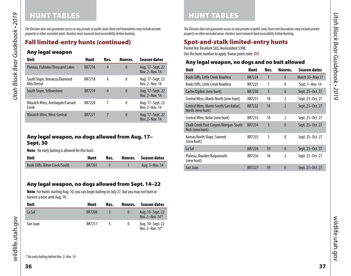# HUNT TABLES

*The Division does not guarantee access to any private or public land. Hunt unit boundaries may include private property or other excluded areas. Hunters must research land accessibility before hunting.*

# Fall limited-entry hunts (continued)

# Any legal weapon

| <b>Unit</b>                                | <b>Hunt</b>   | Res. | Nonres.  | <b>Season dates</b>                |
|--------------------------------------------|---------------|------|----------|------------------------------------|
| Plateau, Fishlake/Thousand Lakes           | <b>BR7216</b> | 4    | $\bf{0}$ | Aug. 17–Sept. 22<br>Nov. 2-Nov. 14 |
| South Slope, Bonanza/Diamond<br>Mtn/Vernal | <b>BR7218</b> | 6    | 0        | Aug. 17–Sept. 22<br>Nov. 2-Nov. 14 |
| South Slope, Yellowstone                   | <b>BR7219</b> | 4    | $\bf{0}$ | Aug. 17–Sept. 22<br>Nov. 2-Nov. 14 |
| Wasatch Mtns, Avintaquin/Currant<br>Creek  | BR7220        | 7    | 0        | Aug. 17–Sept. 22<br>Nov. 2-Nov. 14 |
| <b>Wasatch Mtns, West-Central</b>          | <b>BR7221</b> | 7    | $\bf{0}$ | Aug. 17–Sept. 22<br>Nov. 2-Nov. 14 |

# <span id="page-18-0"></span>Any legal weapon, no dogs allowed from Aug. 17– Sept. 30

Note: No early baiting is allowed for this hunt.

| <b>Unit</b>                            | Hunt          | Res. | Nonres. Season dates |
|----------------------------------------|---------------|------|----------------------|
| <b>Book Cliffs, Bitter Creek/South</b> | <b>BR7201</b> |      | Aug. 3-Nov. 14       |

# <span id="page-18-1"></span>Any legal weapon, no dogs allowed from Sept. 14–22

Note: For hunts starting Aug. 10, you can begin baiting on July 27, but you may not hunt or harvest a bear until Aug. 10.

| <b>Unit</b> | Hunt          | Res. | Nonres. | <b>Season dates</b>                   |
|-------------|---------------|------|---------|---------------------------------------|
| La Sal      | <b>BR7208</b> |      |         | Aug. 10–Sept. 22<br>Nov. 2-Nov. $14*$ |
| San Juan    | <b>BR7217</b> |      |         | Aug. 10–Sept. 22<br>Nov. 2-Nov. $14*$ |

*The Division does not guarantee access to any private or public land. Hunt unit boundaries may include private property or other excluded areas. Hunters must research land accessibility before hunting.*

# <span id="page-18-2"></span>Spot-and-stalk limited-entry hunts

Permit fee: Resident \$83, Nonresident \$308.

HUNT TABLES

Use the hunt number to apply. Bonus point code: BER

# Any legal weapon, no dogs and no bait allowed

| <b>Unit</b>                                               | <b>Hunt</b>   | Res. | Nonres.                  | <b>Season dates</b> |
|-----------------------------------------------------------|---------------|------|--------------------------|---------------------|
| <b>Book Cliffs, Little Creek Roadless</b>                 | <b>BR7224</b> | 7    | $\theta$                 | March 30–May 31     |
| <b>Book Cliffs, Little Creek Roadless</b>                 | <b>BR7225</b> | 7    | $\theta$                 | Sept. 7-Nov. 14     |
| Cache/Ogden (new hunt)                                    | <b>BR7230</b> | 5    | $\mathbf{0}$             | Sept. 25-Oct. 27    |
| Central Mtns, Manti-North (new hunt)                      | BR7231        | 18   | $\mathfrak{p}$           | Sept. 25-Oct. 27    |
| Central Mtns, Manti-South/San Rafael,<br>North (new hunt) | <b>BR7232</b> | 18   | $\overline{\phantom{a}}$ | Sept. 25-Oct. 27    |
| Central Mtns, Nebo (new hunt)                             | BR7233        | 18   | $\mathfrak z$            | Sept. 25-Oct. 27    |
| Chalk Creek/East Canyon/Morgan-South<br>Rich (new hunt)   | <b>BR7234</b> | 5    | $\theta$                 | Sept. 25-Oct. 27    |
| Kamas/North Slope, Summit<br>(new hunt)                   | <b>BR7235</b> | 5    | $\theta$                 | Sept. 25-Oct. 27    |
| La Sal                                                    | <b>BR7226</b> | 59   | $6\overline{6}$          | Sept. 25-Oct. 27    |
| Plateau, Boulder/Kaiparowits<br>(new hunt)                | BR7236        | 18   | $\mathfrak{p}$           | Sept. 25-Oct. 27    |
| San Juan                                                  | <b>BR7227</b> | 59   | $6\overline{6}$          | Sept. 25-Oct. 27    |

wildlife.utah.gov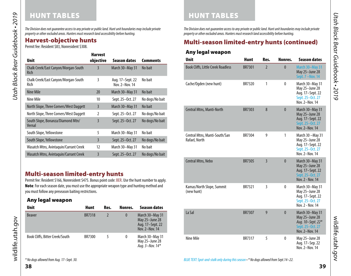# HUNT TABLES

*The Division does not guarantee access to any private or public land. Hunt unit boundaries may include private property or other excluded areas. Hunters must research land accessibility before hunting.*

| <b>Unit</b>                                  | <b>Harvest</b><br>objective | <b>Season dates</b>                | <b>Comments</b> |
|----------------------------------------------|-----------------------------|------------------------------------|-----------------|
| Chalk Creek/East Canyon/Morgan-South<br>Rich | 3                           | March 30-May 31                    | No bait         |
| Chalk Creek/East Canyon/Morgan-South<br>Rich | 3                           | Aug. 17-Sept. 22<br>Nov. 2-Nov. 14 | No bait         |
| Nine Mile                                    | 20                          | March 30-May 31                    | No bait         |
| Nine Mile                                    | 10                          | Sept. 25-Oct. 27                   | No dogs/No bait |
| North Slope, Three Corners/West Daggett      | $\overline{3}$              | March 30-May 31                    | No bait         |
| North Slope, Three Corners/West Daggett      | $\mathfrak z$               | Sept. 25-Oct. 27                   | No dogs/No bait |
| South Slope, Bonanza/Diamond Mtn/<br>Vernal  | $\overline{3}$              | Sept. 25-Oct. 27                   | No dogs/No bait |
| South Slope, Yellowstone                     | 5                           | March 30-May 31                    | No bait         |
| South Slope, Yellowstone                     | $\overline{3}$              | Sept. 25-Oct. 27                   | No dogs/No bait |
| Wasatch Mtns, Avintaquin/Currant Creek       | 12                          | March 30-May 31                    | No bait         |
| Wasatch Mtns, Avintaquin/Currant Creek       | $\overline{3}$              | Sept. 25-Oct. 27                   | No dogs/No bait |

# Multi-season limited-entry hunts

Permit fee: Resident \$166, Nonresident \$475. Bonus point code: BER. Use the hunt number to apply. Note: For each season date, you must use the appropriate weapon type and hunting method and you must follow any preseason baiting restrictions.

# Any legal weapon

| <b>Unit</b>                     | <b>Hunt</b>   | Res. | Nonres.  | Season dates                                                            |
|---------------------------------|---------------|------|----------|-------------------------------------------------------------------------|
| <b>Beaver</b>                   | <b>BR7318</b> |      | $\bf{0}$ | March 30-May 31<br>May 25-June 28<br>Aug. 17-Sept. 22<br>Nov. 2-Nov. 14 |
| Book Cliffs, Bitter Creek/South | <b>BR7300</b> |      | 0        | March 30-May 31<br>May 25-June 28<br>Aug. 3-Nov. $14*$                  |

HUNT TABLES

*The Division does not guarantee access to any private or public land. Hunt unit boundaries may include private property or other excluded areas. Hunters must research land accessibility before hunting.*

# <span id="page-19-0"></span>Harvest-objective hunts Multi-season limited-entry hunts (continued) Permit fee: Resident \$83, Nonresident \$308.

# Any legal weapon

| <b>Unit</b>                                    | <b>Hunt</b>   | Res.           | Nonres.      | <b>Season dates</b>                                                                           |
|------------------------------------------------|---------------|----------------|--------------|-----------------------------------------------------------------------------------------------|
| <b>Book Cliffs, Little Creek Roadless</b>      | <b>BR7301</b> | $\overline{2}$ | $\mathbf{0}$ | March 30-May 31<br>May 25-June 28<br>Sept. 7 - Nov. 14                                        |
| Cache/Ogden (new hunt)                         | BR7320        | 1              | $\mathbf{0}$ | March 30-May 31<br>May 25-June 28<br>Aug. 17-Sept. 22<br>Sept. 25-Oct. 27<br>Nov. 2-Nov. 14   |
| Central Mtns, Manti-North                      | <b>BR7303</b> | 8              | $\mathbf{0}$ | March 30-May 31<br>May 25-June 28<br>Aug. 17-Sept. 22<br>Sept. 25-Oct. 27<br>Nov. 2-Nov. 14   |
| Central Mtns, Manti-South/San<br>Rafael, North | BR7304        | 9              | 1            | March 30 - May 31<br>May 25-June 28<br>Aug. 17-Sept. 22<br>Sept. 25-Oct. 27<br>Nov. 2-Nov. 14 |
| Central Mtns, Nebo                             | <b>BR7305</b> | $\overline{3}$ | $\mathbf{0}$ | March 30-May 31<br>May 25-June 28<br>Aug. 17-Sept. 22<br>Sept. 25-Oct. 27<br>Nov. 2 - Nov. 14 |
| Kamas/North Slope, Summit<br>(new hunt)        | BR7321        | 3              | $\mathbf{0}$ | March 30-May 31<br>May 25-June 28<br>Aug. 17-Sept. 22<br>Sept. 25-Oct. 27<br>Nov. 2 - Nov. 14 |
| La Sal                                         | <b>BR7307</b> | 9              | $\mathbf{0}$ | March 30-May 31<br>May 25-June 28<br>Aug. 10-Sept. 22*<br>Sept. 25-Oct. 27<br>Nov. 2-Nov. 14  |
| Nine Mile                                      | BR7317        | 5              | $\mathbf{0}$ | May 25-June 28<br>Aug. 17-Sep. 22<br>Nov. 2-Nov. 14                                           |

wildlife.utah.gov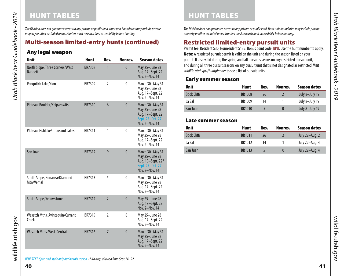# HUNT TABLES **HUNT TABLES**

*The Division does not guarantee access to any private or public land. Hunt unit boundaries may include private property or other excluded areas. Hunters must research land accessibility before hunting.*

# Multi-season limited-entry hunts (continued)

# Any legal weapon

*Utah Black Bear Guidebook • 2019*

<span id="page-20-0"></span>Utah Black Bear Guidebook • 2019

| <b>Unit</b>                                | <b>Hunt</b>   | Res.           | Nonres.      | <b>Season dates</b>                                                                          |
|--------------------------------------------|---------------|----------------|--------------|----------------------------------------------------------------------------------------------|
| North Slope, Three Corners/West<br>Daggett | <b>BR7308</b> | 1              | $\mathbf{0}$ | May 25-June 28<br>Aug. 17-Sept. 22<br>Nov. 2-Nov. 14                                         |
| Panguitch Lake/Zion                        | BR7309        | $\overline{2}$ | $\mathbf{0}$ | March 30-May 31<br>May 25-June 28<br>Aug. 17-Sept. 22<br>Nov. 2-Nov. 14                      |
| Plateau, Boulder/Kaiparowits               | <b>BR7310</b> | 6              | $\mathbf{0}$ | March 30-May 31<br>May 25-June 28<br>Aug. 17-Sept. 22<br>Sept. 25-Oct. 27<br>Nov. 2-Nov. 14  |
| Plateau, Fishlake/Thousand Lakes           | <b>BR7311</b> | 1              | $\mathbf{0}$ | March 30-May 31<br>May 25-June 28<br>Aug. 17-Sept. 22<br>Nov. 2-Nov. 14                      |
| San Juan                                   | <b>BR7312</b> | 9              | $\mathbf{0}$ | March 30-May 31<br>May 25-June 28<br>Aug. 10-Sept. 22*<br>Sept. 25-Oct. 27<br>Nov. 2-Nov. 14 |
| South Slope, Bonanza/Diamond<br>Mtn/Vernal | BR7313        | 5              | $\mathbf{0}$ | March 30-May 31<br>May 25-June 28<br>Aug. 17-Sept. 22<br>Nov. 2-Nov. 14                      |
| South Slope, Yellowstone                   | <b>BR7314</b> | $\overline{2}$ | $\mathbf{0}$ | May 25-June 28<br>Aug. 17-Sept. 22<br>Nov. 2-Nov. 14                                         |
| Wasatch Mtns, Avintaquin/Currant<br>Creek  | <b>BR7315</b> | 2              | $\mathbf{0}$ | May 25-June 28<br>Aug. 17-Sept. 22<br>Nov. 2-Nov. 14                                         |
| <b>Wasatch Mtns, West-Central</b>          | <b>BR7316</b> | $\overline{7}$ | $\mathbf{0}$ | March 30-May 31<br>May 25-June 28<br>Aug. 17-Sept. 22<br>Nov. 2-Nov. 14                      |

*The Division does not guarantee access to any private or public land. Hunt unit boundaries may include private property or other excluded areas. Hunters must research land accessibility before hunting.*

# <span id="page-20-1"></span>Restricted limited-entry pursuit units

Permit fee: Resident \$30, Nonresident \$135. Bonus point code: BPU. Use the hunt number to apply. Note: A restricted pursuit permit is valid on the unit and during the season listed on your permit. It also valid during the spring and fall pursuit seasons on any restricted pursuit unit, and during all three pursuit seasons on any pursuit unit that is not designated as restricted. Visit *wildlife.utah.gov/huntplanner* to see a list of pursuit units.

### Early summer season

| <b>Unit</b>        | Hunt          | Res. | Nonres.  | <b>Season dates</b> |
|--------------------|---------------|------|----------|---------------------|
| <b>Book Cliffs</b> | <b>BR1008</b> | 26   |          | July 8-July 19      |
| La Sal             | BR1009        | 14   |          | July 8-July 19      |
| San Juan           | <b>BR1010</b> |      | $\Omega$ | July 8-July 19      |

# Late summer season

| <b>Unit</b>        | Hunt   | Res. | Nonres.  | Season dates   |
|--------------------|--------|------|----------|----------------|
| <b>Book Cliffs</b> | BR1011 | 26   |          | July 22–Aug. 2 |
| La Sal             | BR1012 | 14   |          | July 22-Aug. 4 |
| San Juan           | BR1013 |      | $\Omega$ | July 22-Aug. 4 |

wildlife.utah.gov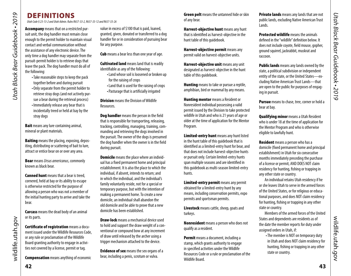# DEFINITIONS

*Utah Code § 23-13-2 and Utah Admin. Rules R657-33-2, R657-33-12 and R657-33-26* 

Accompany means that on a restricted pursuit unit, the dog handler must remain close enough to the permit holder to maintain visual contact and verbal communication without the assistance of any electronic device. The only time a dog handler may separate from the pursuit-permit holder is to retrieve dogs that leave the pack. The dog handler must do all of the following:

•Take reasonable steps to keep the pack together before and during pursuit •Only separate from the permit holder to retrieve stray dogs (and not actively pursue a bear during the retrieval process) •Immediately release any bear that is incidentally treed or held at bay by the stray dogs

**Bait** means any lure containing animal, mineral or plant materials.

**Baiting** means the placing, exposing, depositing, distributing or scattering of bait to lure, attract or entice bear on or over any area.

Bear means *Ursus americanus*, commonly known as black bear.

**Canned hunt** means that a bear is treed. cornered, held at bay or its ability to escape is otherwise restricted for the purpose of allowing a person who was not a member of the initial hunting party to arrive and take the bear.

Carcass means the dead body of an animal or its parts.

Certificate of registration means a document issued under the Wildlife Resources Code, or any rule or proclamation of the Wildlife Board granting authority to engage in activities not covered by a license, permit or tag.

Compensation means anything of economic

value in excess of \$100 that is paid, loaned, granted, given, donated or transferred to a dog handler for or in consideration of pursuing bear for any purpose.

**Cub** means a bear less than one year of age.

**Cultivated land** means land that is readily identifiable as any of the following:

- •Land whose soil is loosened or broken up for the raising of crops
- •Land that is used for the raising of crops •Pasturage that is artificially irrigated

**Division** means the Division of Wildlife Resources.

Dog handler means the person in the field that is responsible for transporting, releasing, tracking, controlling, managing, training, commanding and retrieving the dogs involved in the pursuit. The owner of the dogs is presumed the dog handler when the owner is in the field during pursuit.

**Domicile** means the place where an individual has a fixed permanent home and principal establishment. It is also the place to which the individual, if absent, intends to return; and in which the individual, and the individual's family voluntarily reside, not for a special or temporary purpose, but with the intention of making a permanent home. To create a new domicile, an individual shall abandon the old domicile and be able to prove that a new domicile has been established.

Draw-lock means a mechanical device used to hold and support the draw weight of a conventional or compound bow at any increment of draw until released by the archer using a trigger mechanism attached to the device.

**Evidence of sex** means the sex organs of a bear, including a penis, scrotum or vulva.

**Green pelt** means the untanned hide or skin of any bear.

Harvest-objective hunt means any hunt that is identified as harvest-objective in the hunt table of this guidebook.

Harvest-objective permit means any permit valid on harvest-objective units.

Harvest-objective unit means any unit designated as harvest-objective in the hunt table of this guidebook.

**Hunting** means to take or pursue a reptile, amphibian, bird or mammal by any means.

Hunting mentor means a Resident or Nonresident individual possessing a valid permit issued by the Division to take protected wildlife in Utah and who is 21 years of age or older at the time of application for the Mentor Program.

Limited-entry hunt means any hunt listed in the hunt table of this guidebook that is identified as a limited-entry hunt for bear, and that does not include harvest-objective hunts or pursuit only. Certain limited-entry hunts span multiple seasons and are identified in this guidebook as multi-season limited-entry hunts.

Limited-entry permit means any permit obtained for a limited-entry hunt by any means, including conservation permits, expo permits and sportsman permits.

Livestock means cattle, sheep, goats and turkeys.

Nonresident means a person who does not qualify as a resident.

Permit means a document, including a stamp, which grants authority to engage in specified activities under the Wildlife Resources Code or a rule or proclamation of the Wildlife Board.

**Private lands** means any lands that are not public lands, excluding Native American Trust Lands.

Protected wildlife means the animals defined in the "wildlife" definition below. It does not include coyote, field mouse, gopher, ground squirrel, jackrabbit, muskrat and raccoon.

Public lands means any lands owned by the state, a political subdivision or independent entity of the state, or the United States—excluding Native American Trust Lands—that are open to the public for purposes of engaging in pursuit.

**Pursue** means to chase, tree, corner or hold a bear at bay.

<span id="page-21-0"></span>**Qualifying minor** means a Utah Resident who is under 18 at the time of application for the Mentor Program and who is otherwise eligible to lawfully hunt.

**Resident** means a person who has a domicile (fixed permanent home and principal establishment) in Utah for six consecutive months immediately preceding the purchase of a license or permit, AND DOES NOT claim residency for hunting, fishing or trapping in any other state or country.

An individual retains Utah residency if he or she leaves Utah to serve in the armed forces of the United States, or for religious or educational purposes, and does NOT claim residency for hunting, fishing or trapping in any other state or country.

Members of the armed forces of the United States and dependents are residents as of the date the member reports for duty under assigned orders in Utah, if:

•The member is NOT on temporary duty in Utah and does NOT claim residency for hunting, fishing or trapping in any other state or country.

wildlife.utah.gov